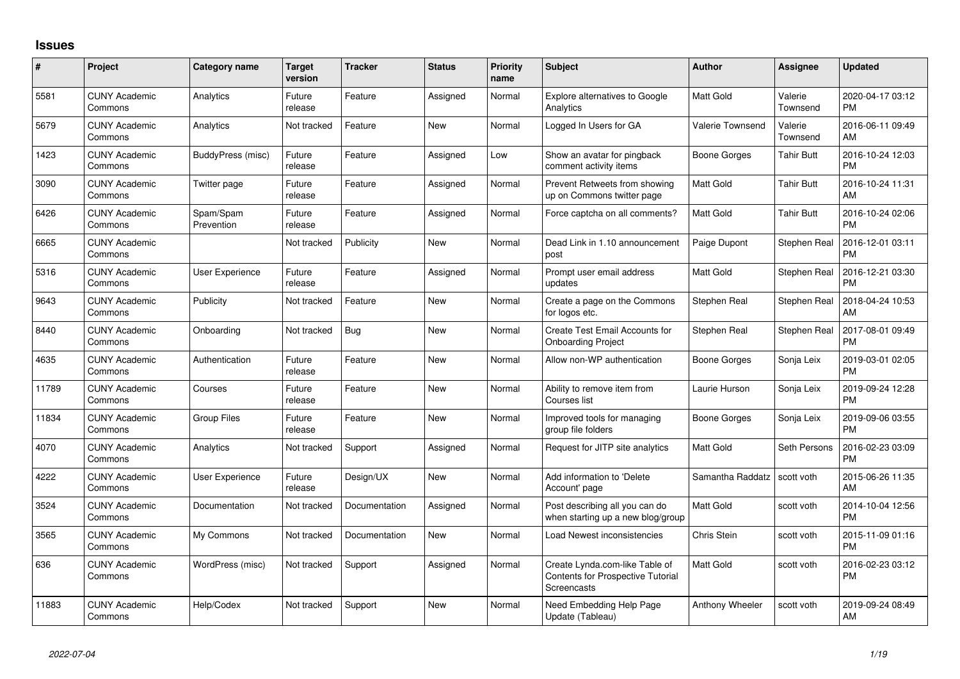## **Issues**

| $\#$  | Project                         | Category name           | <b>Target</b><br>version | <b>Tracker</b> | <b>Status</b> | Priority<br>name | <b>Subject</b>                                                                            | <b>Author</b>    | <b>Assignee</b>     | <b>Updated</b>                |
|-------|---------------------------------|-------------------------|--------------------------|----------------|---------------|------------------|-------------------------------------------------------------------------------------------|------------------|---------------------|-------------------------------|
| 5581  | <b>CUNY Academic</b><br>Commons | Analytics               | Future<br>release        | Feature        | Assigned      | Normal           | <b>Explore alternatives to Google</b><br>Analytics                                        | Matt Gold        | Valerie<br>Townsend | 2020-04-17 03:12<br><b>PM</b> |
| 5679  | <b>CUNY Academic</b><br>Commons | Analytics               | Not tracked              | Feature        | <b>New</b>    | Normal           | Logged In Users for GA                                                                    | Valerie Townsend | Valerie<br>Townsend | 2016-06-11 09:49<br>AM        |
| 1423  | <b>CUNY Academic</b><br>Commons | BuddyPress (misc)       | Future<br>release        | Feature        | Assigned      | Low              | Show an avatar for pingback<br>comment activity items                                     | Boone Gorges     | Tahir Butt          | 2016-10-24 12:03<br><b>PM</b> |
| 3090  | <b>CUNY Academic</b><br>Commons | Twitter page            | Future<br>release        | Feature        | Assigned      | Normal           | Prevent Retweets from showing<br>up on Commons twitter page                               | <b>Matt Gold</b> | <b>Tahir Butt</b>   | 2016-10-24 11:31<br>AM        |
| 6426  | <b>CUNY Academic</b><br>Commons | Spam/Spam<br>Prevention | Future<br>release        | Feature        | Assigned      | Normal           | Force captcha on all comments?                                                            | Matt Gold        | <b>Tahir Butt</b>   | 2016-10-24 02:06<br><b>PM</b> |
| 6665  | <b>CUNY Academic</b><br>Commons |                         | Not tracked              | Publicity      | New           | Normal           | Dead Link in 1.10 announcement<br>post                                                    | Paige Dupont     | Stephen Real        | 2016-12-01 03:11<br><b>PM</b> |
| 5316  | <b>CUNY Academic</b><br>Commons | User Experience         | Future<br>release        | Feature        | Assigned      | Normal           | Prompt user email address<br>updates                                                      | Matt Gold        | Stephen Real        | 2016-12-21 03:30<br><b>PM</b> |
| 9643  | <b>CUNY Academic</b><br>Commons | Publicity               | Not tracked              | Feature        | New           | Normal           | Create a page on the Commons<br>for logos etc.                                            | Stephen Real     | Stephen Real        | 2018-04-24 10:53<br>AM        |
| 8440  | <b>CUNY Academic</b><br>Commons | Onboarding              | Not tracked              | Bug            | <b>New</b>    | Normal           | Create Test Email Accounts for<br><b>Onboarding Project</b>                               | Stephen Real     | Stephen Real        | 2017-08-01 09:49<br><b>PM</b> |
| 4635  | <b>CUNY Academic</b><br>Commons | Authentication          | Future<br>release        | Feature        | New           | Normal           | Allow non-WP authentication                                                               | Boone Gorges     | Sonja Leix          | 2019-03-01 02:05<br><b>PM</b> |
| 11789 | <b>CUNY Academic</b><br>Commons | Courses                 | Future<br>release        | Feature        | <b>New</b>    | Normal           | Ability to remove item from<br>Courses list                                               | Laurie Hurson    | Sonja Leix          | 2019-09-24 12:28<br><b>PM</b> |
| 11834 | <b>CUNY Academic</b><br>Commons | <b>Group Files</b>      | Future<br>release        | Feature        | New           | Normal           | Improved tools for managing<br>group file folders                                         | Boone Gorges     | Sonja Leix          | 2019-09-06 03:55<br><b>PM</b> |
| 4070  | <b>CUNY Academic</b><br>Commons | Analytics               | Not tracked              | Support        | Assigned      | Normal           | Request for JITP site analytics                                                           | Matt Gold        | Seth Persons        | 2016-02-23 03:09<br><b>PM</b> |
| 4222  | <b>CUNY Academic</b><br>Commons | <b>User Experience</b>  | Future<br>release        | Design/UX      | New           | Normal           | Add information to 'Delete<br>Account' page                                               | Samantha Raddatz | scott voth          | 2015-06-26 11:35<br>AM        |
| 3524  | <b>CUNY Academic</b><br>Commons | Documentation           | Not tracked              | Documentation  | Assigned      | Normal           | Post describing all you can do<br>when starting up a new blog/group                       | <b>Matt Gold</b> | scott voth          | 2014-10-04 12:56<br><b>PM</b> |
| 3565  | <b>CUNY Academic</b><br>Commons | My Commons              | Not tracked              | Documentation  | New           | Normal           | Load Newest inconsistencies                                                               | Chris Stein      | scott voth          | 2015-11-09 01:16<br><b>PM</b> |
| 636   | <b>CUNY Academic</b><br>Commons | WordPress (misc)        | Not tracked              | Support        | Assigned      | Normal           | Create Lynda.com-like Table of<br><b>Contents for Prospective Tutorial</b><br>Screencasts | Matt Gold        | scott voth          | 2016-02-23 03:12<br><b>PM</b> |
| 11883 | <b>CUNY Academic</b><br>Commons | Help/Codex              | Not tracked              | Support        | <b>New</b>    | Normal           | Need Embedding Help Page<br>Update (Tableau)                                              | Anthony Wheeler  | scott voth          | 2019-09-24 08:49<br>AM        |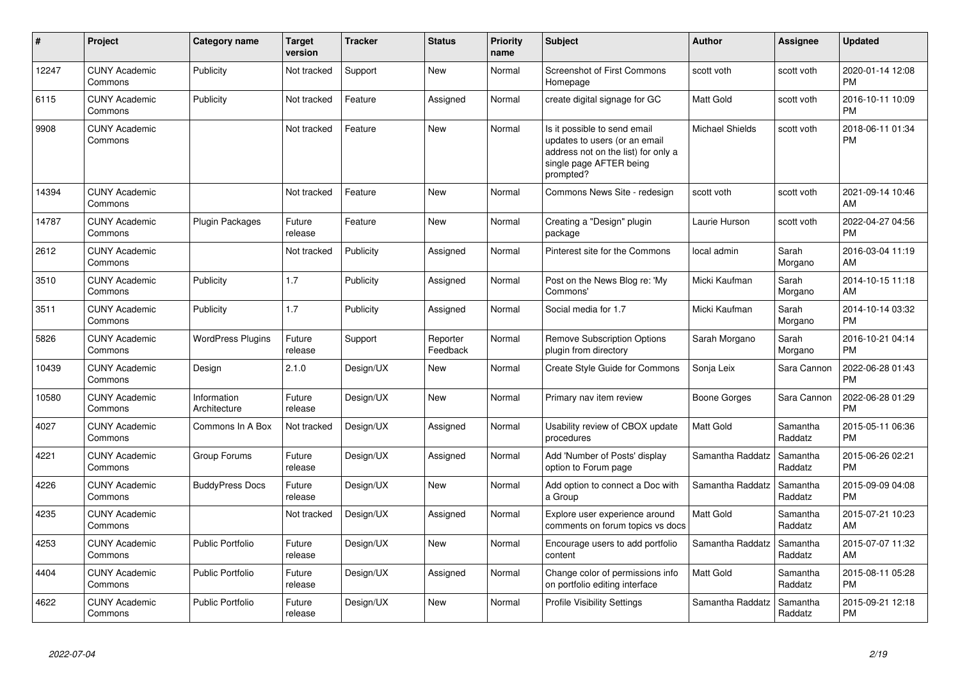| #     | Project                         | Category name               | <b>Target</b><br>version | <b>Tracker</b> | <b>Status</b>        | <b>Priority</b><br>name | <b>Subject</b>                                                                                                                               | <b>Author</b>          | Assignee            | <b>Updated</b>                |
|-------|---------------------------------|-----------------------------|--------------------------|----------------|----------------------|-------------------------|----------------------------------------------------------------------------------------------------------------------------------------------|------------------------|---------------------|-------------------------------|
| 12247 | <b>CUNY Academic</b><br>Commons | Publicity                   | Not tracked              | Support        | <b>New</b>           | Normal                  | <b>Screenshot of First Commons</b><br>Homepage                                                                                               | scott voth             | scott voth          | 2020-01-14 12:08<br><b>PM</b> |
| 6115  | <b>CUNY Academic</b><br>Commons | Publicity                   | Not tracked              | Feature        | Assigned             | Normal                  | create digital signage for GC                                                                                                                | <b>Matt Gold</b>       | scott voth          | 2016-10-11 10:09<br><b>PM</b> |
| 9908  | <b>CUNY Academic</b><br>Commons |                             | Not tracked              | Feature        | New                  | Normal                  | Is it possible to send email<br>updates to users (or an email<br>address not on the list) for only a<br>single page AFTER being<br>prompted? | <b>Michael Shields</b> | scott voth          | 2018-06-11 01:34<br><b>PM</b> |
| 14394 | <b>CUNY Academic</b><br>Commons |                             | Not tracked              | Feature        | <b>New</b>           | Normal                  | Commons News Site - redesign                                                                                                                 | scott voth             | scott voth          | 2021-09-14 10:46<br>AM        |
| 14787 | <b>CUNY Academic</b><br>Commons | Plugin Packages             | Future<br>release        | Feature        | <b>New</b>           | Normal                  | Creating a "Design" plugin<br>package                                                                                                        | Laurie Hurson          | scott voth          | 2022-04-27 04:56<br><b>PM</b> |
| 2612  | <b>CUNY Academic</b><br>Commons |                             | Not tracked              | Publicity      | Assigned             | Normal                  | Pinterest site for the Commons                                                                                                               | local admin            | Sarah<br>Morgano    | 2016-03-04 11:19<br>AM        |
| 3510  | <b>CUNY Academic</b><br>Commons | Publicity                   | 1.7                      | Publicity      | Assigned             | Normal                  | Post on the News Blog re: 'My<br>Commons'                                                                                                    | Micki Kaufman          | Sarah<br>Morgano    | 2014-10-15 11:18<br>AM        |
| 3511  | <b>CUNY Academic</b><br>Commons | Publicity                   | 1.7                      | Publicity      | Assigned             | Normal                  | Social media for 1.7                                                                                                                         | Micki Kaufman          | Sarah<br>Morgano    | 2014-10-14 03:32<br><b>PM</b> |
| 5826  | <b>CUNY Academic</b><br>Commons | <b>WordPress Plugins</b>    | Future<br>release        | Support        | Reporter<br>Feedback | Normal                  | <b>Remove Subscription Options</b><br>plugin from directory                                                                                  | Sarah Morgano          | Sarah<br>Morgano    | 2016-10-21 04:14<br><b>PM</b> |
| 10439 | <b>CUNY Academic</b><br>Commons | Design                      | 2.1.0                    | Design/UX      | New                  | Normal                  | Create Style Guide for Commons                                                                                                               | Sonja Leix             | Sara Cannon         | 2022-06-28 01:43<br><b>PM</b> |
| 10580 | <b>CUNY Academic</b><br>Commons | Information<br>Architecture | Future<br>release        | Design/UX      | <b>New</b>           | Normal                  | Primary nav item review                                                                                                                      | Boone Gorges           | Sara Cannon         | 2022-06-28 01:29<br><b>PM</b> |
| 4027  | <b>CUNY Academic</b><br>Commons | Commons In A Box            | Not tracked              | Design/UX      | Assigned             | Normal                  | Usability review of CBOX update<br>procedures                                                                                                | <b>Matt Gold</b>       | Samantha<br>Raddatz | 2015-05-11 06:36<br><b>PM</b> |
| 4221  | <b>CUNY Academic</b><br>Commons | Group Forums                | Future<br>release        | Design/UX      | Assigned             | Normal                  | Add 'Number of Posts' display<br>option to Forum page                                                                                        | Samantha Raddatz       | Samantha<br>Raddatz | 2015-06-26 02:21<br><b>PM</b> |
| 4226  | <b>CUNY Academic</b><br>Commons | <b>BuddyPress Docs</b>      | Future<br>release        | Design/UX      | <b>New</b>           | Normal                  | Add option to connect a Doc with<br>a Group                                                                                                  | Samantha Raddatz       | Samantha<br>Raddatz | 2015-09-09 04:08<br><b>PM</b> |
| 4235  | <b>CUNY Academic</b><br>Commons |                             | Not tracked              | Design/UX      | Assigned             | Normal                  | Explore user experience around<br>comments on forum topics vs docs                                                                           | <b>Matt Gold</b>       | Samantha<br>Raddatz | 2015-07-21 10:23<br>AM        |
| 4253  | <b>CUNY Academic</b><br>Commons | <b>Public Portfolio</b>     | Future<br>release        | Design/UX      | <b>New</b>           | Normal                  | Encourage users to add portfolio<br>content                                                                                                  | Samantha Raddatz       | Samantha<br>Raddatz | 2015-07-07 11:32<br>AM        |
| 4404  | <b>CUNY Academic</b><br>Commons | Public Portfolio            | Future<br>release        | Design/UX      | Assigned             | Normal                  | Change color of permissions info<br>on portfolio editing interface                                                                           | <b>Matt Gold</b>       | Samantha<br>Raddatz | 2015-08-11 05:28<br><b>PM</b> |
| 4622  | <b>CUNY Academic</b><br>Commons | <b>Public Portfolio</b>     | Future<br>release        | Design/UX      | <b>New</b>           | Normal                  | <b>Profile Visibility Settings</b>                                                                                                           | Samantha Raddatz       | Samantha<br>Raddatz | 2015-09-21 12:18<br><b>PM</b> |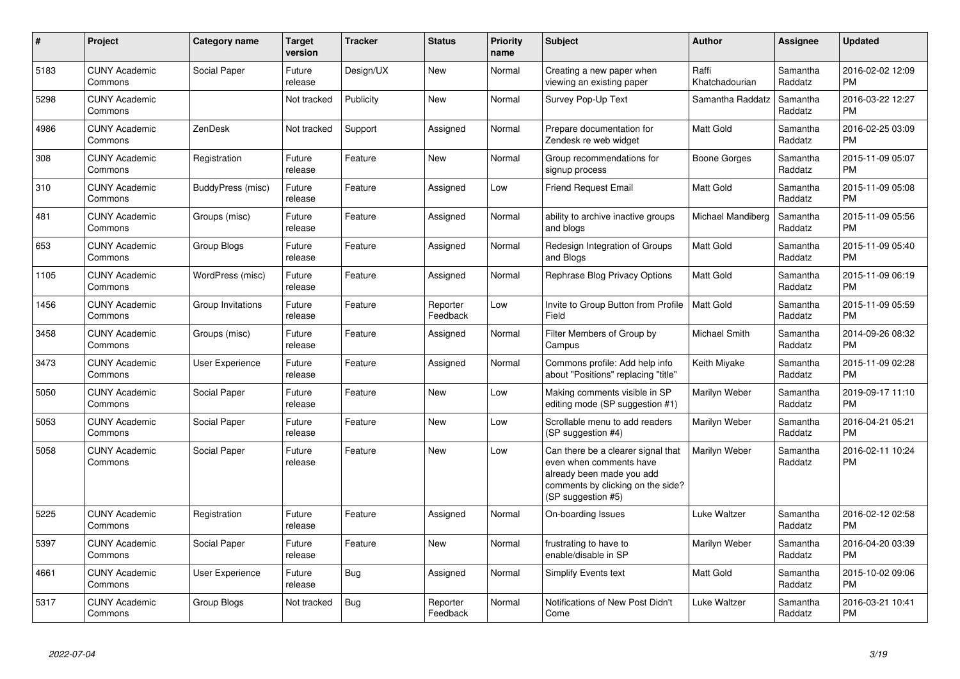| $\pmb{\#}$ | Project                         | <b>Category name</b> | <b>Target</b><br>version | <b>Tracker</b> | <b>Status</b>        | <b>Priority</b><br>name | <b>Subject</b>                                                                                                                                        | <b>Author</b>           | <b>Assignee</b>     | <b>Updated</b>                |
|------------|---------------------------------|----------------------|--------------------------|----------------|----------------------|-------------------------|-------------------------------------------------------------------------------------------------------------------------------------------------------|-------------------------|---------------------|-------------------------------|
| 5183       | <b>CUNY Academic</b><br>Commons | Social Paper         | Future<br>release        | Design/UX      | <b>New</b>           | Normal                  | Creating a new paper when<br>viewing an existing paper                                                                                                | Raffi<br>Khatchadourian | Samantha<br>Raddatz | 2016-02-02 12:09<br><b>PM</b> |
| 5298       | <b>CUNY Academic</b><br>Commons |                      | Not tracked              | Publicity      | <b>New</b>           | Normal                  | Survey Pop-Up Text                                                                                                                                    | Samantha Raddatz        | Samantha<br>Raddatz | 2016-03-22 12:27<br><b>PM</b> |
| 4986       | <b>CUNY Academic</b><br>Commons | ZenDesk              | Not tracked              | Support        | Assigned             | Normal                  | Prepare documentation for<br>Zendesk re web widget                                                                                                    | Matt Gold               | Samantha<br>Raddatz | 2016-02-25 03:09<br><b>PM</b> |
| 308        | <b>CUNY Academic</b><br>Commons | Registration         | Future<br>release        | Feature        | <b>New</b>           | Normal                  | Group recommendations for<br>signup process                                                                                                           | Boone Gorges            | Samantha<br>Raddatz | 2015-11-09 05:07<br><b>PM</b> |
| 310        | <b>CUNY Academic</b><br>Commons | BuddyPress (misc)    | Future<br>release        | Feature        | Assigned             | Low                     | <b>Friend Request Email</b>                                                                                                                           | <b>Matt Gold</b>        | Samantha<br>Raddatz | 2015-11-09 05:08<br><b>PM</b> |
| 481        | <b>CUNY Academic</b><br>Commons | Groups (misc)        | Future<br>release        | Feature        | Assigned             | Normal                  | ability to archive inactive groups<br>and blogs                                                                                                       | Michael Mandiberg       | Samantha<br>Raddatz | 2015-11-09 05:56<br><b>PM</b> |
| 653        | <b>CUNY Academic</b><br>Commons | Group Blogs          | Future<br>release        | Feature        | Assigned             | Normal                  | Redesign Integration of Groups<br>and Blogs                                                                                                           | <b>Matt Gold</b>        | Samantha<br>Raddatz | 2015-11-09 05:40<br><b>PM</b> |
| 1105       | <b>CUNY Academic</b><br>Commons | WordPress (misc)     | Future<br>release        | Feature        | Assigned             | Normal                  | Rephrase Blog Privacy Options                                                                                                                         | <b>Matt Gold</b>        | Samantha<br>Raddatz | 2015-11-09 06:19<br><b>PM</b> |
| 1456       | <b>CUNY Academic</b><br>Commons | Group Invitations    | Future<br>release        | Feature        | Reporter<br>Feedback | Low                     | Invite to Group Button from Profile<br>Field                                                                                                          | <b>Matt Gold</b>        | Samantha<br>Raddatz | 2015-11-09 05:59<br><b>PM</b> |
| 3458       | <b>CUNY Academic</b><br>Commons | Groups (misc)        | Future<br>release        | Feature        | Assigned             | Normal                  | Filter Members of Group by<br>Campus                                                                                                                  | Michael Smith           | Samantha<br>Raddatz | 2014-09-26 08:32<br><b>PM</b> |
| 3473       | <b>CUNY Academic</b><br>Commons | User Experience      | Future<br>release        | Feature        | Assigned             | Normal                  | Commons profile: Add help info<br>about "Positions" replacing "title"                                                                                 | Keith Miyake            | Samantha<br>Raddatz | 2015-11-09 02:28<br><b>PM</b> |
| 5050       | <b>CUNY Academic</b><br>Commons | Social Paper         | Future<br>release        | Feature        | New                  | Low                     | Making comments visible in SP<br>editing mode (SP suggestion #1)                                                                                      | Marilyn Weber           | Samantha<br>Raddatz | 2019-09-17 11:10<br><b>PM</b> |
| 5053       | <b>CUNY Academic</b><br>Commons | Social Paper         | Future<br>release        | Feature        | <b>New</b>           | Low                     | Scrollable menu to add readers<br>(SP suggestion #4)                                                                                                  | Marilyn Weber           | Samantha<br>Raddatz | 2016-04-21 05:21<br><b>PM</b> |
| 5058       | <b>CUNY Academic</b><br>Commons | Social Paper         | Future<br>release        | Feature        | <b>New</b>           | Low                     | Can there be a clearer signal that<br>even when comments have<br>already been made you add<br>comments by clicking on the side?<br>(SP suggestion #5) | Marilyn Weber           | Samantha<br>Raddatz | 2016-02-11 10:24<br><b>PM</b> |
| 5225       | <b>CUNY Academic</b><br>Commons | Registration         | Future<br>release        | Feature        | Assigned             | Normal                  | On-boarding Issues                                                                                                                                    | Luke Waltzer            | Samantha<br>Raddatz | 2016-02-12 02:58<br><b>PM</b> |
| 5397       | <b>CUNY Academic</b><br>Commons | Social Paper         | Future<br>release        | Feature        | <b>New</b>           | Normal                  | frustrating to have to<br>enable/disable in SP                                                                                                        | Marilyn Weber           | Samantha<br>Raddatz | 2016-04-20 03:39<br><b>PM</b> |
| 4661       | <b>CUNY Academic</b><br>Commons | User Experience      | Future<br>release        | Bug            | Assigned             | Normal                  | <b>Simplify Events text</b>                                                                                                                           | Matt Gold               | Samantha<br>Raddatz | 2015-10-02 09:06<br><b>PM</b> |
| 5317       | <b>CUNY Academic</b><br>Commons | Group Blogs          | Not tracked              | Bug            | Reporter<br>Feedback | Normal                  | Notifications of New Post Didn't<br>Come                                                                                                              | Luke Waltzer            | Samantha<br>Raddatz | 2016-03-21 10:41<br><b>PM</b> |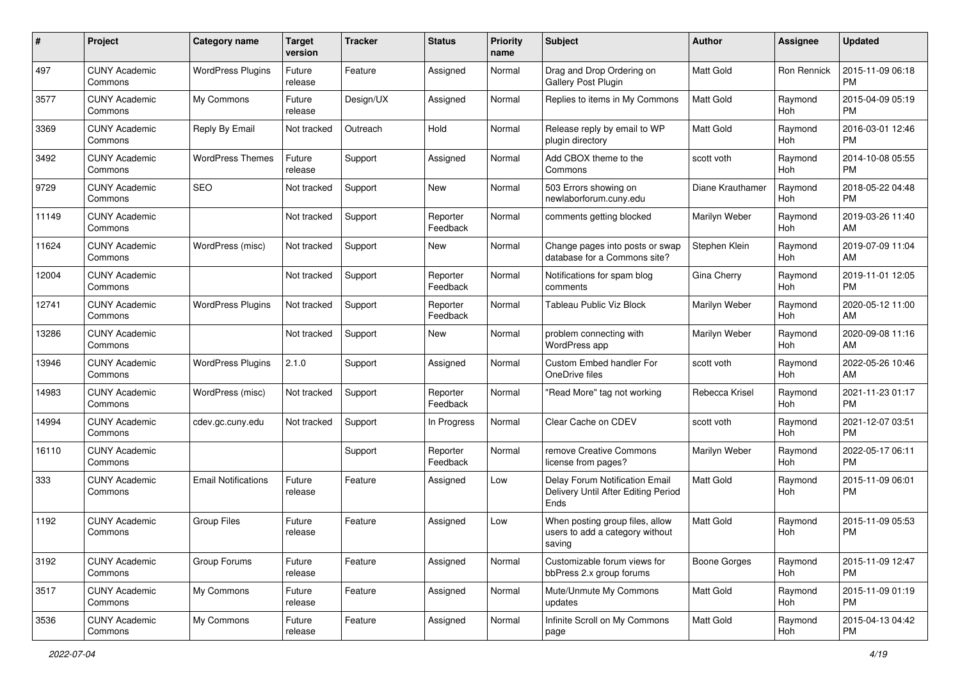| #     | Project                         | Category name              | <b>Target</b><br>version | <b>Tracker</b> | <b>Status</b>        | <b>Priority</b><br>name | <b>Subject</b>                                                                | Author           | <b>Assignee</b> | <b>Updated</b>                |
|-------|---------------------------------|----------------------------|--------------------------|----------------|----------------------|-------------------------|-------------------------------------------------------------------------------|------------------|-----------------|-------------------------------|
| 497   | <b>CUNY Academic</b><br>Commons | <b>WordPress Plugins</b>   | Future<br>release        | Feature        | Assigned             | Normal                  | Drag and Drop Ordering on<br>Gallery Post Plugin                              | <b>Matt Gold</b> | Ron Rennick     | 2015-11-09 06:18<br><b>PM</b> |
| 3577  | <b>CUNY Academic</b><br>Commons | My Commons                 | Future<br>release        | Design/UX      | Assigned             | Normal                  | Replies to items in My Commons                                                | <b>Matt Gold</b> | Raymond<br>Hoh  | 2015-04-09 05:19<br><b>PM</b> |
| 3369  | <b>CUNY Academic</b><br>Commons | Reply By Email             | Not tracked              | Outreach       | Hold                 | Normal                  | Release reply by email to WP<br>plugin directory                              | <b>Matt Gold</b> | Raymond<br>Hoh  | 2016-03-01 12:46<br><b>PM</b> |
| 3492  | <b>CUNY Academic</b><br>Commons | <b>WordPress Themes</b>    | Future<br>release        | Support        | Assigned             | Normal                  | Add CBOX theme to the<br>Commons                                              | scott voth       | Raymond<br>Hoh  | 2014-10-08 05:55<br><b>PM</b> |
| 9729  | <b>CUNY Academic</b><br>Commons | <b>SEO</b>                 | Not tracked              | Support        | New                  | Normal                  | 503 Errors showing on<br>newlaborforum.cuny.edu                               | Diane Krauthamer | Raymond<br>Hoh  | 2018-05-22 04:48<br><b>PM</b> |
| 11149 | <b>CUNY Academic</b><br>Commons |                            | Not tracked              | Support        | Reporter<br>Feedback | Normal                  | comments getting blocked                                                      | Marilyn Weber    | Raymond<br>Hoh  | 2019-03-26 11:40<br>AM        |
| 11624 | <b>CUNY Academic</b><br>Commons | WordPress (misc)           | Not tracked              | Support        | New                  | Normal                  | Change pages into posts or swap<br>database for a Commons site?               | Stephen Klein    | Raymond<br>Hoh  | 2019-07-09 11:04<br>AM        |
| 12004 | <b>CUNY Academic</b><br>Commons |                            | Not tracked              | Support        | Reporter<br>Feedback | Normal                  | Notifications for spam blog<br>comments                                       | Gina Cherry      | Raymond<br>Hoh  | 2019-11-01 12:05<br><b>PM</b> |
| 12741 | <b>CUNY Academic</b><br>Commons | <b>WordPress Plugins</b>   | Not tracked              | Support        | Reporter<br>Feedback | Normal                  | Tableau Public Viz Block                                                      | Marilyn Weber    | Raymond<br>Hoh  | 2020-05-12 11:00<br>AM        |
| 13286 | <b>CUNY Academic</b><br>Commons |                            | Not tracked              | Support        | New                  | Normal                  | problem connecting with<br>WordPress app                                      | Marilyn Weber    | Raymond<br>Hoh  | 2020-09-08 11:16<br>AM        |
| 13946 | <b>CUNY Academic</b><br>Commons | <b>WordPress Plugins</b>   | 2.1.0                    | Support        | Assigned             | Normal                  | Custom Embed handler For<br>OneDrive files                                    | scott voth       | Raymond<br>Hoh  | 2022-05-26 10:46<br>AM        |
| 14983 | <b>CUNY Academic</b><br>Commons | WordPress (misc)           | Not tracked              | Support        | Reporter<br>Feedback | Normal                  | "Read More" tag not working                                                   | Rebecca Krisel   | Raymond<br>Hoh  | 2021-11-23 01:17<br><b>PM</b> |
| 14994 | <b>CUNY Academic</b><br>Commons | cdev.gc.cuny.edu           | Not tracked              | Support        | In Progress          | Normal                  | Clear Cache on CDEV                                                           | scott voth       | Raymond<br>Hoh  | 2021-12-07 03:51<br><b>PM</b> |
| 16110 | <b>CUNY Academic</b><br>Commons |                            |                          | Support        | Reporter<br>Feedback | Normal                  | remove Creative Commons<br>license from pages?                                | Marilyn Weber    | Raymond<br>Hoh  | 2022-05-17 06:11<br><b>PM</b> |
| 333   | <b>CUNY Academic</b><br>Commons | <b>Email Notifications</b> | Future<br>release        | Feature        | Assigned             | Low                     | Delay Forum Notification Email<br>Delivery Until After Editing Period<br>Ends | <b>Matt Gold</b> | Raymond<br>Hoh  | 2015-11-09 06:01<br><b>PM</b> |
| 1192  | <b>CUNY Academic</b><br>Commons | <b>Group Files</b>         | Future<br>release        | Feature        | Assigned             | Low                     | When posting group files, allow<br>users to add a category without<br>saving  | <b>Matt Gold</b> | Raymond<br>Hoh  | 2015-11-09 05:53<br><b>PM</b> |
| 3192  | <b>CUNY Academic</b><br>Commons | Group Forums               | Future<br>release        | Feature        | Assigned             | Normal                  | Customizable forum views for<br>bbPress 2.x group forums                      | Boone Gorges     | Raymond<br>Hoh  | 2015-11-09 12:47<br><b>PM</b> |
| 3517  | <b>CUNY Academic</b><br>Commons | My Commons                 | Future<br>release        | Feature        | Assigned             | Normal                  | Mute/Unmute My Commons<br>updates                                             | Matt Gold        | Raymond<br>Hoh  | 2015-11-09 01:19<br><b>PM</b> |
| 3536  | <b>CUNY Academic</b><br>Commons | My Commons                 | Future<br>release        | Feature        | Assigned             | Normal                  | Infinite Scroll on My Commons<br>page                                         | Matt Gold        | Raymond<br>Hoh  | 2015-04-13 04:42<br><b>PM</b> |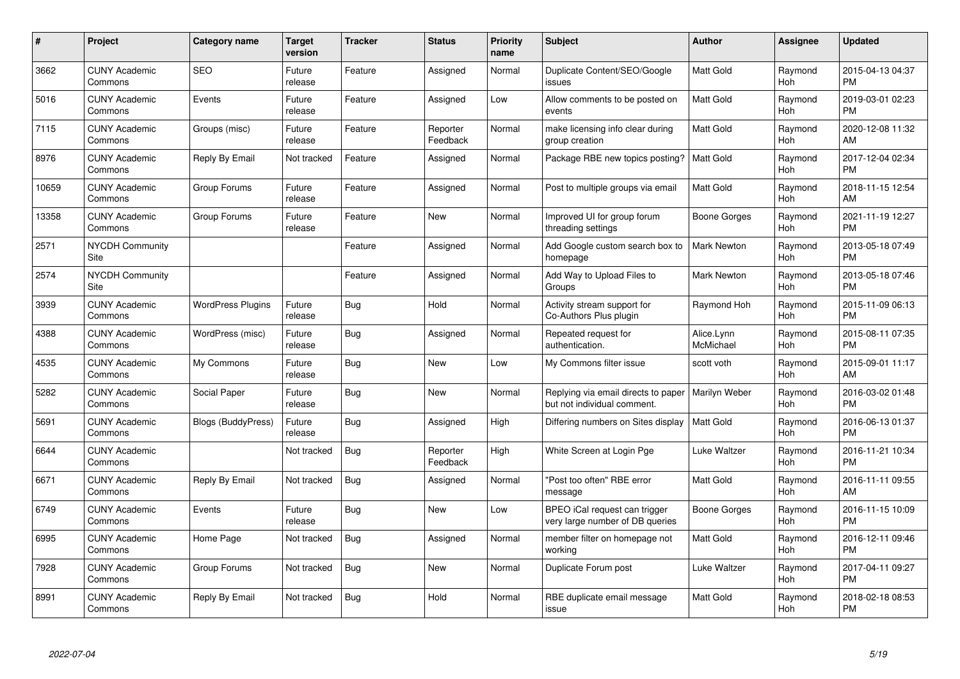| #     | Project                         | <b>Category name</b>      | <b>Target</b><br>version | <b>Tracker</b> | <b>Status</b>        | <b>Priority</b><br>name | <b>Subject</b>                                                     | <b>Author</b>           | <b>Assignee</b>       | <b>Updated</b>                |
|-------|---------------------------------|---------------------------|--------------------------|----------------|----------------------|-------------------------|--------------------------------------------------------------------|-------------------------|-----------------------|-------------------------------|
| 3662  | <b>CUNY Academic</b><br>Commons | <b>SEO</b>                | Future<br>release        | Feature        | Assigned             | Normal                  | Duplicate Content/SEO/Google<br>issues                             | <b>Matt Gold</b>        | Raymond<br>Hoh        | 2015-04-13 04:37<br><b>PM</b> |
| 5016  | <b>CUNY Academic</b><br>Commons | Events                    | Future<br>release        | Feature        | Assigned             | Low                     | Allow comments to be posted on<br>events                           | <b>Matt Gold</b>        | Raymond<br>Hoh        | 2019-03-01 02:23<br><b>PM</b> |
| 7115  | <b>CUNY Academic</b><br>Commons | Groups (misc)             | Future<br>release        | Feature        | Reporter<br>Feedback | Normal                  | make licensing info clear during<br>group creation                 | <b>Matt Gold</b>        | Raymond<br>Hoh        | 2020-12-08 11:32<br>AM        |
| 8976  | <b>CUNY Academic</b><br>Commons | Reply By Email            | Not tracked              | Feature        | Assigned             | Normal                  | Package RBE new topics posting?                                    | <b>Matt Gold</b>        | Raymond<br>Hoh        | 2017-12-04 02:34<br><b>PM</b> |
| 10659 | <b>CUNY Academic</b><br>Commons | Group Forums              | Future<br>release        | Feature        | Assigned             | Normal                  | Post to multiple groups via email                                  | <b>Matt Gold</b>        | Raymond<br>Hoh        | 2018-11-15 12:54<br>AM        |
| 13358 | <b>CUNY Academic</b><br>Commons | Group Forums              | Future<br>release        | Feature        | <b>New</b>           | Normal                  | Improved UI for group forum<br>threading settings                  | Boone Gorges            | Raymond<br>Hoh        | 2021-11-19 12:27<br><b>PM</b> |
| 2571  | <b>NYCDH Community</b><br>Site  |                           |                          | Feature        | Assigned             | Normal                  | Add Google custom search box to<br>homepage                        | <b>Mark Newton</b>      | Raymond<br>Hoh        | 2013-05-18 07:49<br><b>PM</b> |
| 2574  | <b>NYCDH Community</b><br>Site  |                           |                          | Feature        | Assigned             | Normal                  | Add Way to Upload Files to<br>Groups                               | <b>Mark Newton</b>      | Raymond<br><b>Hoh</b> | 2013-05-18 07:46<br><b>PM</b> |
| 3939  | <b>CUNY Academic</b><br>Commons | <b>WordPress Plugins</b>  | Future<br>release        | <b>Bug</b>     | Hold                 | Normal                  | Activity stream support for<br>Co-Authors Plus plugin              | Raymond Hoh             | Raymond<br>Hoh        | 2015-11-09 06:13<br><b>PM</b> |
| 4388  | <b>CUNY Academic</b><br>Commons | WordPress (misc)          | Future<br>release        | Bug            | Assigned             | Normal                  | Repeated request for<br>authentication.                            | Alice.Lynn<br>McMichael | Raymond<br>Hoh        | 2015-08-11 07:35<br><b>PM</b> |
| 4535  | <b>CUNY Academic</b><br>Commons | My Commons                | Future<br>release        | <b>Bug</b>     | New                  | Low                     | My Commons filter issue                                            | scott voth              | Raymond<br>Hoh        | 2015-09-01 11:17<br>AM        |
| 5282  | <b>CUNY Academic</b><br>Commons | Social Paper              | Future<br>release        | <b>Bug</b>     | New                  | Normal                  | Replying via email directs to paper<br>but not individual comment. | Marilyn Weber           | Raymond<br>Hoh        | 2016-03-02 01:48<br><b>PM</b> |
| 5691  | <b>CUNY Academic</b><br>Commons | <b>Blogs (BuddyPress)</b> | Future<br>release        | Bug            | Assigned             | High                    | Differing numbers on Sites display                                 | <b>Matt Gold</b>        | Raymond<br>Hoh        | 2016-06-13 01:37<br><b>PM</b> |
| 6644  | <b>CUNY Academic</b><br>Commons |                           | Not tracked              | <b>Bug</b>     | Reporter<br>Feedback | High                    | White Screen at Login Pge                                          | Luke Waltzer            | Raymond<br>Hoh        | 2016-11-21 10:34<br><b>PM</b> |
| 6671  | <b>CUNY Academic</b><br>Commons | Reply By Email            | Not tracked              | <b>Bug</b>     | Assigned             | Normal                  | "Post too often" RBE error<br>message                              | <b>Matt Gold</b>        | Raymond<br>Hoh        | 2016-11-11 09:55<br>AM        |
| 6749  | <b>CUNY Academic</b><br>Commons | Events                    | Future<br>release        | Bug            | <b>New</b>           | Low                     | BPEO iCal request can trigger<br>very large number of DB queries   | Boone Gorges            | Raymond<br>Hoh        | 2016-11-15 10:09<br><b>PM</b> |
| 6995  | <b>CUNY Academic</b><br>Commons | Home Page                 | Not tracked              | Bug            | Assigned             | Normal                  | member filter on homepage not<br>working                           | Matt Gold               | Raymond<br>Hoh        | 2016-12-11 09:46<br><b>PM</b> |
| 7928  | <b>CUNY Academic</b><br>Commons | Group Forums              | Not tracked              | Bug            | New                  | Normal                  | Duplicate Forum post                                               | Luke Waltzer            | Raymond<br>Hoh        | 2017-04-11 09:27<br><b>PM</b> |
| 8991  | <b>CUNY Academic</b><br>Commons | Reply By Email            | Not tracked              | <b>Bug</b>     | Hold                 | Normal                  | RBE duplicate email message<br>issue                               | <b>Matt Gold</b>        | Raymond<br>Hoh        | 2018-02-18 08:53<br><b>PM</b> |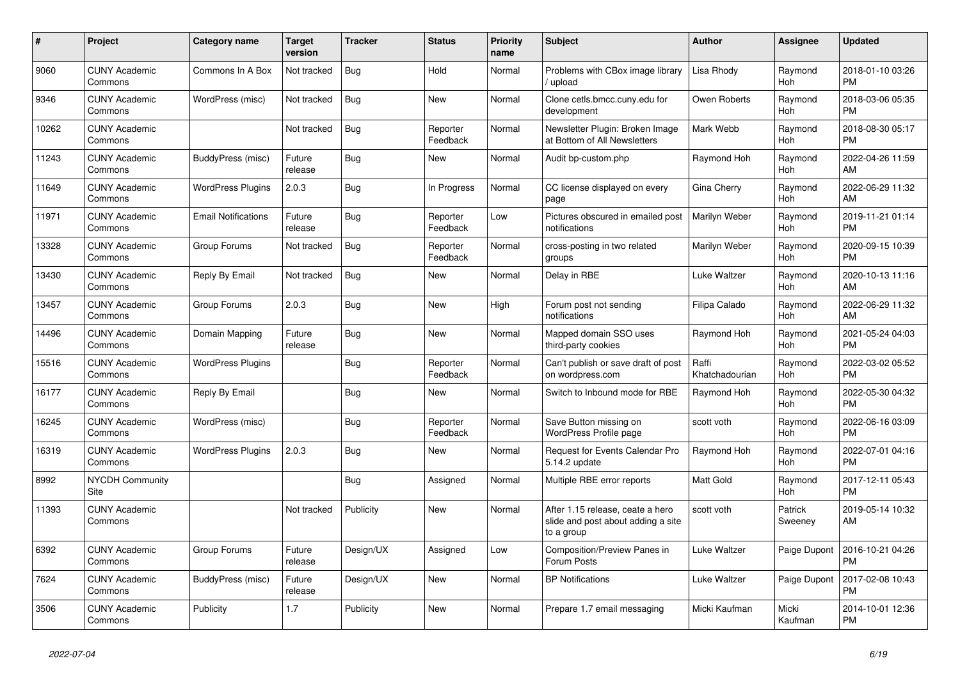| #     | <b>Project</b>                  | Category name              | <b>Target</b><br>version | <b>Tracker</b> | <b>Status</b>        | <b>Priority</b><br>name | <b>Subject</b>                                                                       | <b>Author</b>           | Assignee           | <b>Updated</b>                |
|-------|---------------------------------|----------------------------|--------------------------|----------------|----------------------|-------------------------|--------------------------------------------------------------------------------------|-------------------------|--------------------|-------------------------------|
| 9060  | <b>CUNY Academic</b><br>Commons | Commons In A Box           | Not tracked              | <b>Bug</b>     | Hold                 | Normal                  | Problems with CBox image library<br>/ upload                                         | Lisa Rhody              | Raymond<br>Hoh     | 2018-01-10 03:26<br><b>PM</b> |
| 9346  | <b>CUNY Academic</b><br>Commons | WordPress (misc)           | Not tracked              | Bug            | New                  | Normal                  | Clone cetls.bmcc.cuny.edu for<br>development                                         | Owen Roberts            | Raymond<br>Hoh     | 2018-03-06 05:35<br><b>PM</b> |
| 10262 | <b>CUNY Academic</b><br>Commons |                            | Not tracked              | <b>Bug</b>     | Reporter<br>Feedback | Normal                  | Newsletter Plugin: Broken Image<br>at Bottom of All Newsletters                      | Mark Webb               | Raymond<br>Hoh     | 2018-08-30 05:17<br><b>PM</b> |
| 11243 | <b>CUNY Academic</b><br>Commons | BuddyPress (misc)          | Future<br>release        | Bug            | <b>New</b>           | Normal                  | Audit bp-custom.php                                                                  | Raymond Hoh             | Raymond<br>Hoh     | 2022-04-26 11:59<br>AM        |
| 11649 | <b>CUNY Academic</b><br>Commons | <b>WordPress Plugins</b>   | 2.0.3                    | Bug            | In Progress          | Normal                  | CC license displayed on every<br>page                                                | Gina Cherry             | Raymond<br>Hoh     | 2022-06-29 11:32<br>AM        |
| 11971 | <b>CUNY Academic</b><br>Commons | <b>Email Notifications</b> | Future<br>release        | Bug            | Reporter<br>Feedback | Low                     | Pictures obscured in emailed post<br>notifications                                   | Marilyn Weber           | Raymond<br>Hoh     | 2019-11-21 01:14<br><b>PM</b> |
| 13328 | <b>CUNY Academic</b><br>Commons | Group Forums               | Not tracked              | Bug            | Reporter<br>Feedback | Normal                  | cross-posting in two related<br>groups                                               | Marilyn Weber           | Raymond<br>Hoh     | 2020-09-15 10:39<br><b>PM</b> |
| 13430 | <b>CUNY Academic</b><br>Commons | Reply By Email             | Not tracked              | <b>Bug</b>     | <b>New</b>           | Normal                  | Delay in RBE                                                                         | Luke Waltzer            | Raymond<br>Hoh     | 2020-10-13 11:16<br>AM        |
| 13457 | <b>CUNY Academic</b><br>Commons | Group Forums               | 2.0.3                    | Bug            | New                  | High                    | Forum post not sending<br>notifications                                              | Filipa Calado           | Raymond<br>Hoh     | 2022-06-29 11:32<br>AM        |
| 14496 | <b>CUNY Academic</b><br>Commons | Domain Mapping             | Future<br>release        | Bug            | New                  | Normal                  | Mapped domain SSO uses<br>third-party cookies                                        | Raymond Hoh             | Raymond<br>Hoh     | 2021-05-24 04:03<br><b>PM</b> |
| 15516 | <b>CUNY Academic</b><br>Commons | <b>WordPress Plugins</b>   |                          | Bug            | Reporter<br>Feedback | Normal                  | Can't publish or save draft of post<br>on wordpress.com                              | Raffi<br>Khatchadourian | Raymond<br>Hoh     | 2022-03-02 05:52<br><b>PM</b> |
| 16177 | <b>CUNY Academic</b><br>Commons | Reply By Email             |                          | <b>Bug</b>     | New                  | Normal                  | Switch to Inbound mode for RBE                                                       | Raymond Hoh             | Raymond<br>Hoh     | 2022-05-30 04:32<br><b>PM</b> |
| 16245 | <b>CUNY Academic</b><br>Commons | WordPress (misc)           |                          | Bug            | Reporter<br>Feedback | Normal                  | Save Button missing on<br>WordPress Profile page                                     | scott voth              | Raymond<br>Hoh     | 2022-06-16 03:09<br><b>PM</b> |
| 16319 | <b>CUNY Academic</b><br>Commons | <b>WordPress Plugins</b>   | 2.0.3                    | Bug            | <b>New</b>           | Normal                  | <b>Request for Events Calendar Pro</b><br>5.14.2 update                              | Raymond Hoh             | Raymond<br>Hoh     | 2022-07-01 04:16<br><b>PM</b> |
| 8992  | NYCDH Community<br>Site         |                            |                          | Bug            | Assigned             | Normal                  | Multiple RBE error reports                                                           | <b>Matt Gold</b>        | Raymond<br>Hoh     | 2017-12-11 05:43<br><b>PM</b> |
| 11393 | <b>CUNY Academic</b><br>Commons |                            | Not tracked              | Publicity      | New                  | Normal                  | After 1.15 release, ceate a hero<br>slide and post about adding a site<br>to a group | scott voth              | Patrick<br>Sweeney | 2019-05-14 10:32<br>AM        |
| 6392  | <b>CUNY Academic</b><br>Commons | Group Forums               | Future<br>release        | Design/UX      | Assigned             | Low                     | Composition/Preview Panes in<br>Forum Posts                                          | Luke Waltzer            | Paige Dupont       | 2016-10-21 04:26<br><b>PM</b> |
| 7624  | <b>CUNY Academic</b><br>Commons | BuddyPress (misc)          | Future<br>release        | Design/UX      | New                  | Normal                  | <b>BP Notifications</b>                                                              | Luke Waltzer            | Paige Dupont       | 2017-02-08 10:43<br><b>PM</b> |
| 3506  | <b>CUNY Academic</b><br>Commons | Publicity                  | 1.7                      | Publicity      | <b>New</b>           | Normal                  | Prepare 1.7 email messaging                                                          | Micki Kaufman           | Micki<br>Kaufman   | 2014-10-01 12:36<br><b>PM</b> |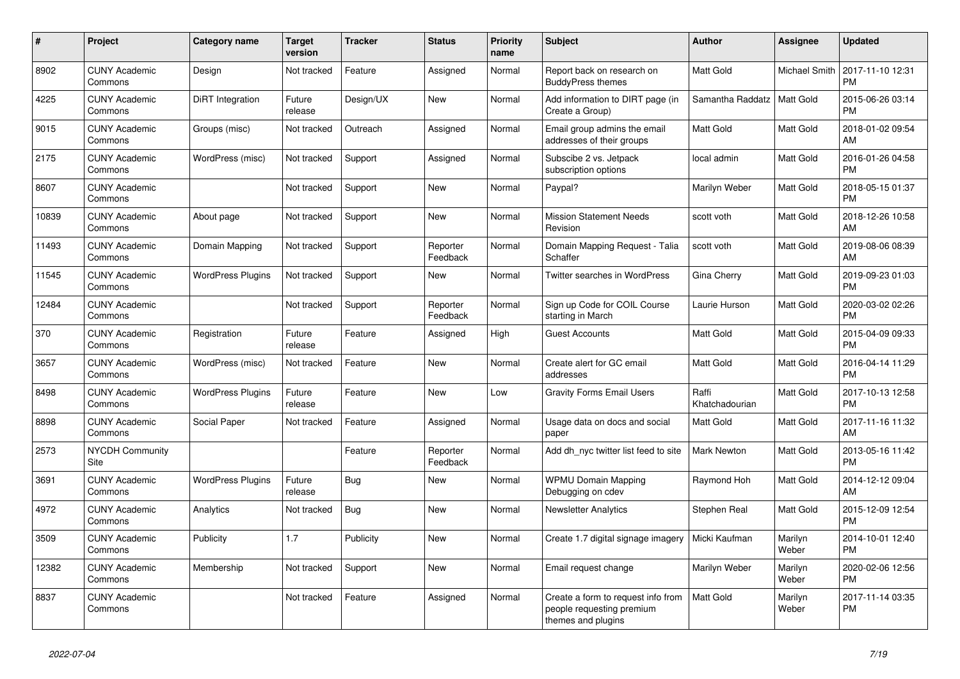| #     | <b>Project</b>                  | Category name            | <b>Target</b><br>version | <b>Tracker</b> | <b>Status</b>        | Priority<br>name | <b>Subject</b>                                                                        | <b>Author</b>           | Assignee         | <b>Updated</b>                |
|-------|---------------------------------|--------------------------|--------------------------|----------------|----------------------|------------------|---------------------------------------------------------------------------------------|-------------------------|------------------|-------------------------------|
| 8902  | <b>CUNY Academic</b><br>Commons | Design                   | Not tracked              | Feature        | Assigned             | Normal           | Report back on research on<br><b>BuddyPress themes</b>                                | <b>Matt Gold</b>        | Michael Smith    | 2017-11-10 12:31<br><b>PM</b> |
| 4225  | <b>CUNY Academic</b><br>Commons | DiRT Integration         | Future<br>release        | Design/UX      | <b>New</b>           | Normal           | Add information to DIRT page (in<br>Create a Group)                                   | Samantha Raddatz        | Matt Gold        | 2015-06-26 03:14<br><b>PM</b> |
| 9015  | <b>CUNY Academic</b><br>Commons | Groups (misc)            | Not tracked              | Outreach       | Assigned             | Normal           | Email group admins the email<br>addresses of their groups                             | Matt Gold               | Matt Gold        | 2018-01-02 09:54<br>AM        |
| 2175  | <b>CUNY Academic</b><br>Commons | WordPress (misc)         | Not tracked              | Support        | Assigned             | Normal           | Subscibe 2 vs. Jetpack<br>subscription options                                        | local admin             | Matt Gold        | 2016-01-26 04:58<br><b>PM</b> |
| 8607  | <b>CUNY Academic</b><br>Commons |                          | Not tracked              | Support        | <b>New</b>           | Normal           | Paypal?                                                                               | Marilyn Weber           | Matt Gold        | 2018-05-15 01:37<br><b>PM</b> |
| 10839 | <b>CUNY Academic</b><br>Commons | About page               | Not tracked              | Support        | New                  | Normal           | <b>Mission Statement Needs</b><br>Revision                                            | scott voth              | Matt Gold        | 2018-12-26 10:58<br>AM        |
| 11493 | <b>CUNY Academic</b><br>Commons | Domain Mapping           | Not tracked              | Support        | Reporter<br>Feedback | Normal           | Domain Mapping Request - Talia<br>Schaffer                                            | scott voth              | Matt Gold        | 2019-08-06 08:39<br>AM        |
| 11545 | <b>CUNY Academic</b><br>Commons | <b>WordPress Plugins</b> | Not tracked              | Support        | <b>New</b>           | Normal           | <b>Twitter searches in WordPress</b>                                                  | Gina Cherry             | Matt Gold        | 2019-09-23 01:03<br><b>PM</b> |
| 12484 | <b>CUNY Academic</b><br>Commons |                          | Not tracked              | Support        | Reporter<br>Feedback | Normal           | Sign up Code for COIL Course<br>starting in March                                     | Laurie Hurson           | Matt Gold        | 2020-03-02 02:26<br><b>PM</b> |
| 370   | <b>CUNY Academic</b><br>Commons | Registration             | Future<br>release        | Feature        | Assigned             | High             | <b>Guest Accounts</b>                                                                 | <b>Matt Gold</b>        | Matt Gold        | 2015-04-09 09:33<br><b>PM</b> |
| 3657  | <b>CUNY Academic</b><br>Commons | WordPress (misc)         | Not tracked              | Feature        | <b>New</b>           | Normal           | Create alert for GC email<br>addresses                                                | <b>Matt Gold</b>        | Matt Gold        | 2016-04-14 11:29<br><b>PM</b> |
| 8498  | <b>CUNY Academic</b><br>Commons | <b>WordPress Plugins</b> | Future<br>release        | Feature        | <b>New</b>           | Low              | <b>Gravity Forms Email Users</b>                                                      | Raffi<br>Khatchadourian | Matt Gold        | 2017-10-13 12:58<br><b>PM</b> |
| 8898  | <b>CUNY Academic</b><br>Commons | Social Paper             | Not tracked              | Feature        | Assigned             | Normal           | Usage data on docs and social<br>paper                                                | <b>Matt Gold</b>        | Matt Gold        | 2017-11-16 11:32<br>AM        |
| 2573  | <b>NYCDH Community</b><br>Site  |                          |                          | Feature        | Reporter<br>Feedback | Normal           | Add dh_nyc twitter list feed to site                                                  | <b>Mark Newton</b>      | Matt Gold        | 2013-05-16 11:42<br><b>PM</b> |
| 3691  | <b>CUNY Academic</b><br>Commons | <b>WordPress Plugins</b> | Future<br>release        | Bug            | <b>New</b>           | Normal           | <b>WPMU Domain Mapping</b><br>Debugging on cdev                                       | Raymond Hoh             | Matt Gold        | 2014-12-12 09:04<br>AM        |
| 4972  | <b>CUNY Academic</b><br>Commons | Analytics                | Not tracked              | <b>Bug</b>     | New                  | Normal           | <b>Newsletter Analytics</b>                                                           | Stephen Real            | Matt Gold        | 2015-12-09 12:54<br><b>PM</b> |
| 3509  | <b>CUNY Academic</b><br>Commons | Publicity                | 1.7                      | Publicity      | <b>New</b>           | Normal           | Create 1.7 digital signage imagery                                                    | Micki Kaufman           | Marilyn<br>Weber | 2014-10-01 12:40<br><b>PM</b> |
| 12382 | <b>CUNY Academic</b><br>Commons | Membership               | Not tracked              | Support        | <b>New</b>           | Normal           | Email request change                                                                  | Marilyn Weber           | Marilyn<br>Weber | 2020-02-06 12:56<br><b>PM</b> |
| 8837  | <b>CUNY Academic</b><br>Commons |                          | Not tracked              | Feature        | Assigned             | Normal           | Create a form to request info from<br>people requesting premium<br>themes and plugins | <b>Matt Gold</b>        | Marilyn<br>Weber | 2017-11-14 03:35<br><b>PM</b> |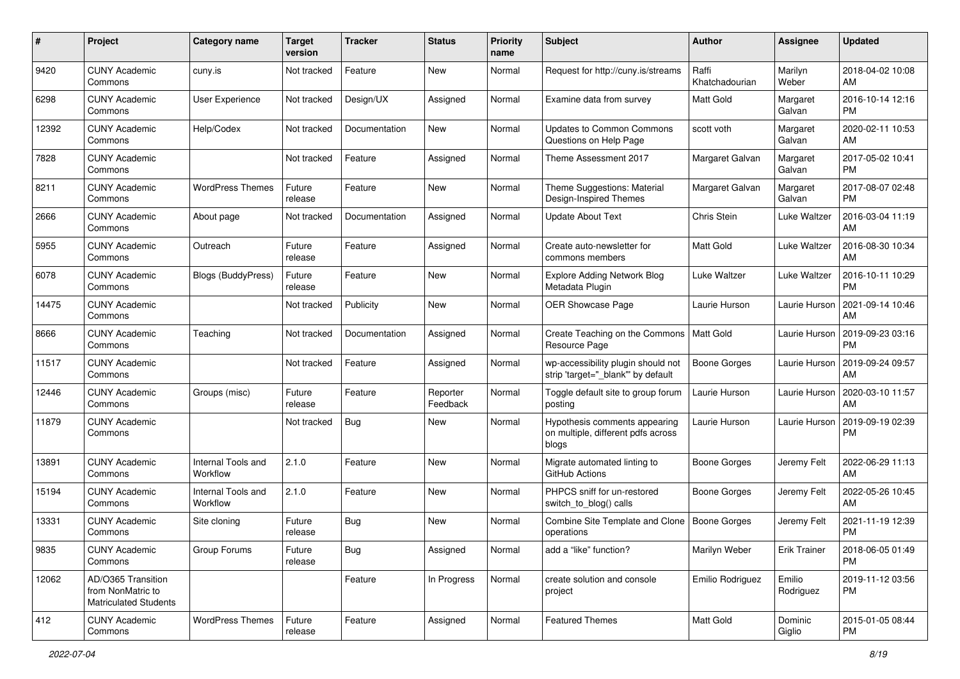| #     | Project                                                                 | <b>Category name</b>           | <b>Target</b><br>version | <b>Tracker</b> | <b>Status</b>        | Priority<br>name | <b>Subject</b>                                                               | Author                  | <b>Assignee</b>     | <b>Updated</b>                |
|-------|-------------------------------------------------------------------------|--------------------------------|--------------------------|----------------|----------------------|------------------|------------------------------------------------------------------------------|-------------------------|---------------------|-------------------------------|
| 9420  | <b>CUNY Academic</b><br>Commons                                         | cuny.is                        | Not tracked              | Feature        | <b>New</b>           | Normal           | Request for http://cuny.is/streams                                           | Raffi<br>Khatchadourian | Marilyn<br>Weber    | 2018-04-02 10:08<br>AM        |
| 6298  | <b>CUNY Academic</b><br>Commons                                         | <b>User Experience</b>         | Not tracked              | Design/UX      | Assigned             | Normal           | Examine data from survey                                                     | <b>Matt Gold</b>        | Margaret<br>Galvan  | 2016-10-14 12:16<br><b>PM</b> |
| 12392 | <b>CUNY Academic</b><br>Commons                                         | Help/Codex                     | Not tracked              | Documentation  | <b>New</b>           | Normal           | <b>Updates to Common Commons</b><br>Questions on Help Page                   | scott voth              | Margaret<br>Galvan  | 2020-02-11 10:53<br>AM        |
| 7828  | <b>CUNY Academic</b><br>Commons                                         |                                | Not tracked              | Feature        | Assigned             | Normal           | Theme Assessment 2017                                                        | Margaret Galvan         | Margaret<br>Galvan  | 2017-05-02 10:41<br><b>PM</b> |
| 8211  | <b>CUNY Academic</b><br>Commons                                         | <b>WordPress Themes</b>        | Future<br>release        | Feature        | <b>New</b>           | Normal           | Theme Suggestions: Material<br>Design-Inspired Themes                        | Margaret Galvan         | Margaret<br>Galvan  | 2017-08-07 02:48<br><b>PM</b> |
| 2666  | <b>CUNY Academic</b><br>Commons                                         | About page                     | Not tracked              | Documentation  | Assigned             | Normal           | <b>Update About Text</b>                                                     | Chris Stein             | Luke Waltzer        | 2016-03-04 11:19<br>AM        |
| 5955  | <b>CUNY Academic</b><br>Commons                                         | Outreach                       | Future<br>release        | Feature        | Assigned             | Normal           | Create auto-newsletter for<br>commons members                                | <b>Matt Gold</b>        | Luke Waltzer        | 2016-08-30 10:34<br>AM        |
| 6078  | <b>CUNY Academic</b><br>Commons                                         | Blogs (BuddyPress)             | Future<br>release        | Feature        | <b>New</b>           | Normal           | <b>Explore Adding Network Blog</b><br>Metadata Plugin                        | Luke Waltzer            | Luke Waltzer        | 2016-10-11 10:29<br><b>PM</b> |
| 14475 | <b>CUNY Academic</b><br>Commons                                         |                                | Not tracked              | Publicity      | New                  | Normal           | OER Showcase Page                                                            | Laurie Hurson           | Laurie Hurson       | 2021-09-14 10:46<br>AM        |
| 8666  | <b>CUNY Academic</b><br>Commons                                         | Teaching                       | Not tracked              | Documentation  | Assigned             | Normal           | Create Teaching on the Commons<br>Resource Page                              | <b>Matt Gold</b>        | Laurie Hurson       | 2019-09-23 03:16<br><b>PM</b> |
| 11517 | <b>CUNY Academic</b><br>Commons                                         |                                | Not tracked              | Feature        | Assigned             | Normal           | wp-accessibility plugin should not<br>strip 'target="_blank"' by default     | <b>Boone Gorges</b>     | Laurie Hurson       | 2019-09-24 09:57<br>AM        |
| 12446 | <b>CUNY Academic</b><br>Commons                                         | Groups (misc)                  | Future<br>release        | Feature        | Reporter<br>Feedback | Normal           | Toggle default site to group forum<br>posting                                | Laurie Hurson           | Laurie Hurson       | 2020-03-10 11:57<br>AM        |
| 11879 | <b>CUNY Academic</b><br>Commons                                         |                                | Not tracked              | Bug            | New                  | Normal           | Hypothesis comments appearing<br>on multiple, different pdfs across<br>blogs | Laurie Hurson           | Laurie Hurson       | 2019-09-19 02:39<br><b>PM</b> |
| 13891 | <b>CUNY Academic</b><br>Commons                                         | Internal Tools and<br>Workflow | 2.1.0                    | Feature        | New                  | Normal           | Migrate automated linting to<br>GitHub Actions                               | <b>Boone Gorges</b>     | Jeremy Felt         | 2022-06-29 11:13<br>AM        |
| 15194 | <b>CUNY Academic</b><br>Commons                                         | Internal Tools and<br>Workflow | 2.1.0                    | Feature        | New                  | Normal           | PHPCS sniff for un-restored<br>switch_to_blog() calls                        | <b>Boone Gorges</b>     | Jeremy Felt         | 2022-05-26 10:45<br>AM        |
| 13331 | <b>CUNY Academic</b><br>Commons                                         | Site cloning                   | Future<br>release        | Bug            | New                  | Normal           | Combine Site Template and Clone<br>operations                                | Boone Gorges            | Jeremy Felt         | 2021-11-19 12:39<br><b>PM</b> |
| 9835  | <b>CUNY Academic</b><br>Commons                                         | Group Forums                   | Future<br>release        | Bug            | Assigned             | Normal           | add a "like" function?                                                       | Marilyn Weber           | <b>Erik Trainer</b> | 2018-06-05 01:49<br><b>PM</b> |
| 12062 | AD/O365 Transition<br>from NonMatric to<br><b>Matriculated Students</b> |                                |                          | Feature        | In Progress          | Normal           | create solution and console<br>project                                       | Emilio Rodriguez        | Emilio<br>Rodriguez | 2019-11-12 03:56<br><b>PM</b> |
| 412   | <b>CUNY Academic</b><br>Commons                                         | <b>WordPress Themes</b>        | Future<br>release        | Feature        | Assigned             | Normal           | <b>Featured Themes</b>                                                       | Matt Gold               | Dominic<br>Giglio   | 2015-01-05 08:44<br><b>PM</b> |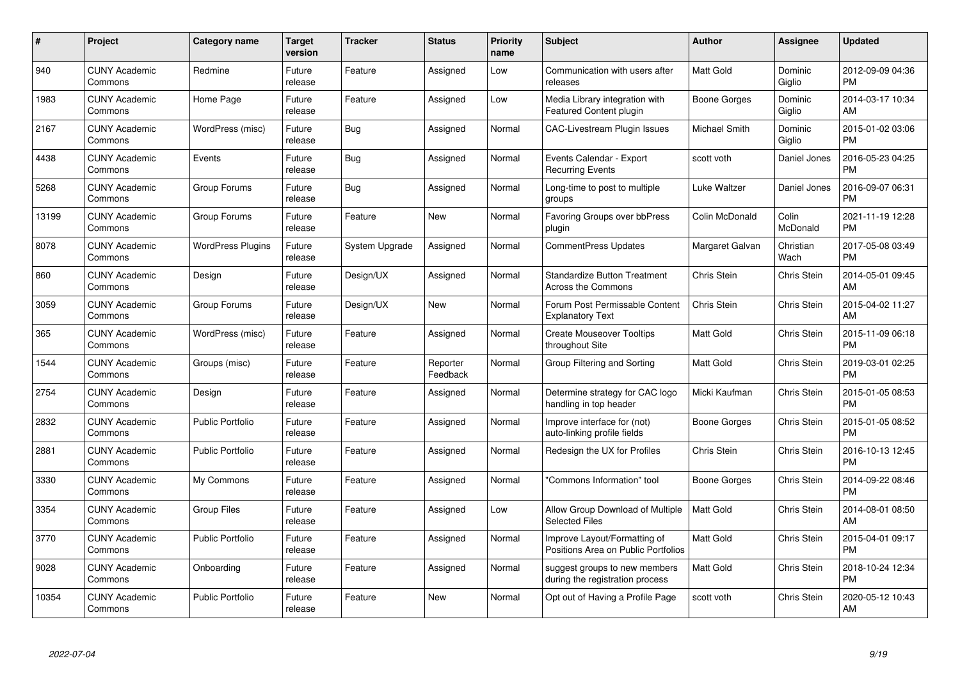| $\#$  | Project                         | <b>Category name</b>     | <b>Target</b><br>version | <b>Tracker</b> | <b>Status</b>        | Priority<br>name | <b>Subject</b>                                                      | <b>Author</b>    | <b>Assignee</b>    | <b>Updated</b>                |
|-------|---------------------------------|--------------------------|--------------------------|----------------|----------------------|------------------|---------------------------------------------------------------------|------------------|--------------------|-------------------------------|
| 940   | <b>CUNY Academic</b><br>Commons | Redmine                  | Future<br>release        | Feature        | Assigned             | Low              | Communication with users after<br>releases                          | <b>Matt Gold</b> | Dominic<br>Giglio  | 2012-09-09 04:36<br><b>PM</b> |
| 1983  | <b>CUNY Academic</b><br>Commons | Home Page                | Future<br>release        | Feature        | Assigned             | Low              | Media Library integration with<br>Featured Content plugin           | Boone Gorges     | Dominic<br>Giglio  | 2014-03-17 10:34<br>AM        |
| 2167  | <b>CUNY Academic</b><br>Commons | WordPress (misc)         | Future<br>release        | Bug            | Assigned             | Normal           | <b>CAC-Livestream Plugin Issues</b>                                 | Michael Smith    | Dominic<br>Giglio  | 2015-01-02 03:06<br><b>PM</b> |
| 4438  | <b>CUNY Academic</b><br>Commons | Events                   | Future<br>release        | Bug            | Assigned             | Normal           | Events Calendar - Export<br><b>Recurring Events</b>                 | scott voth       | Daniel Jones       | 2016-05-23 04:25<br><b>PM</b> |
| 5268  | <b>CUNY Academic</b><br>Commons | Group Forums             | Future<br>release        | <b>Bug</b>     | Assigned             | Normal           | Long-time to post to multiple<br>groups                             | Luke Waltzer     | Daniel Jones       | 2016-09-07 06:31<br><b>PM</b> |
| 13199 | <b>CUNY Academic</b><br>Commons | Group Forums             | Future<br>release        | Feature        | New                  | Normal           | Favoring Groups over bbPress<br>plugin                              | Colin McDonald   | Colin<br>McDonald  | 2021-11-19 12:28<br><b>PM</b> |
| 8078  | <b>CUNY Academic</b><br>Commons | <b>WordPress Plugins</b> | Future<br>release        | System Upgrade | Assigned             | Normal           | <b>CommentPress Updates</b>                                         | Margaret Galvan  | Christian<br>Wach  | 2017-05-08 03:49<br><b>PM</b> |
| 860   | <b>CUNY Academic</b><br>Commons | Design                   | Future<br>release        | Design/UX      | Assigned             | Normal           | <b>Standardize Button Treatment</b><br><b>Across the Commons</b>    | Chris Stein      | Chris Stein        | 2014-05-01 09:45<br>AM        |
| 3059  | <b>CUNY Academic</b><br>Commons | Group Forums             | Future<br>release        | Design/UX      | New                  | Normal           | Forum Post Permissable Content<br><b>Explanatory Text</b>           | Chris Stein      | Chris Stein        | 2015-04-02 11:27<br>AM        |
| 365   | <b>CUNY Academic</b><br>Commons | WordPress (misc)         | Future<br>release        | Feature        | Assigned             | Normal           | <b>Create Mouseover Tooltips</b><br>throughout Site                 | <b>Matt Gold</b> | Chris Stein        | 2015-11-09 06:18<br><b>PM</b> |
| 1544  | <b>CUNY Academic</b><br>Commons | Groups (misc)            | Future<br>release        | Feature        | Reporter<br>Feedback | Normal           | Group Filtering and Sorting                                         | Matt Gold        | <b>Chris Stein</b> | 2019-03-01 02:25<br><b>PM</b> |
| 2754  | <b>CUNY Academic</b><br>Commons | Design                   | Future<br>release        | Feature        | Assigned             | Normal           | Determine strategy for CAC logo<br>handling in top header           | Micki Kaufman    | Chris Stein        | 2015-01-05 08:53<br><b>PM</b> |
| 2832  | <b>CUNY Academic</b><br>Commons | <b>Public Portfolio</b>  | Future<br>release        | Feature        | Assigned             | Normal           | Improve interface for (not)<br>auto-linking profile fields          | Boone Gorges     | Chris Stein        | 2015-01-05 08:52<br><b>PM</b> |
| 2881  | <b>CUNY Academic</b><br>Commons | <b>Public Portfolio</b>  | Future<br>release        | Feature        | Assigned             | Normal           | Redesign the UX for Profiles                                        | Chris Stein      | Chris Stein        | 2016-10-13 12:45<br><b>PM</b> |
| 3330  | <b>CUNY Academic</b><br>Commons | My Commons               | Future<br>release        | Feature        | Assigned             | Normal           | "Commons Information" tool                                          | Boone Gorges     | Chris Stein        | 2014-09-22 08:46<br><b>PM</b> |
| 3354  | <b>CUNY Academic</b><br>Commons | <b>Group Files</b>       | Future<br>release        | Feature        | Assigned             | Low              | Allow Group Download of Multiple<br><b>Selected Files</b>           | <b>Matt Gold</b> | Chris Stein        | 2014-08-01 08:50<br>AM        |
| 3770  | <b>CUNY Academic</b><br>Commons | <b>Public Portfolio</b>  | Future<br>release        | Feature        | Assigned             | Normal           | Improve Layout/Formatting of<br>Positions Area on Public Portfolios | <b>Matt Gold</b> | Chris Stein        | 2015-04-01 09:17<br><b>PM</b> |
| 9028  | <b>CUNY Academic</b><br>Commons | Onboarding               | Future<br>release        | Feature        | Assigned             | Normal           | suggest groups to new members<br>during the registration process    | Matt Gold        | Chris Stein        | 2018-10-24 12:34<br><b>PM</b> |
| 10354 | CUNY Academic<br>Commons        | <b>Public Portfolio</b>  | Future<br>release        | Feature        | <b>New</b>           | Normal           | Opt out of Having a Profile Page                                    | scott voth       | <b>Chris Stein</b> | 2020-05-12 10:43<br>AM        |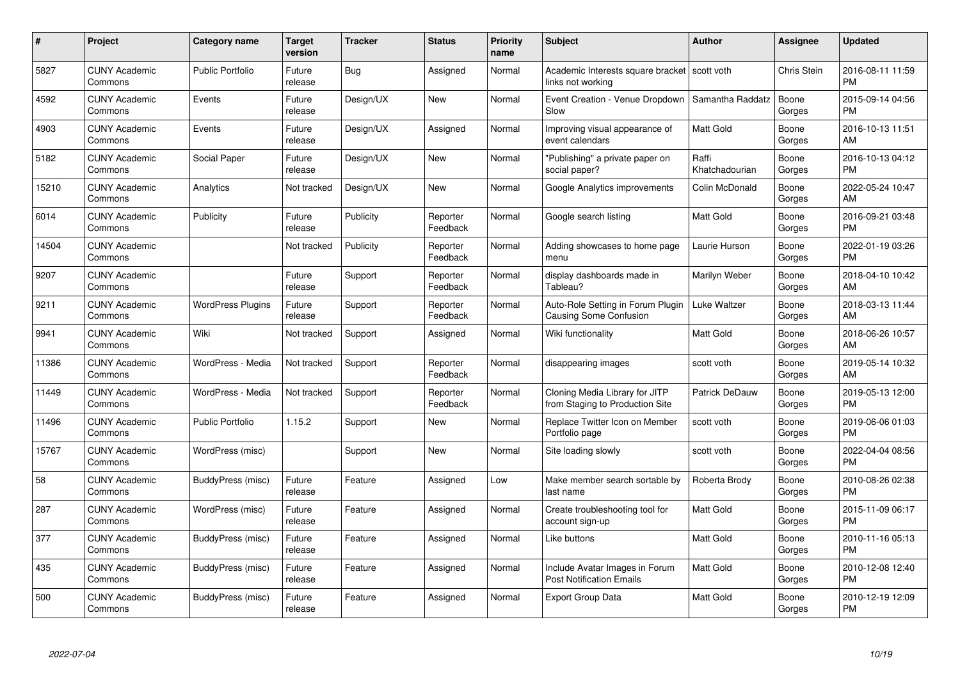| $\pmb{\#}$ | Project                         | <b>Category name</b>     | <b>Target</b><br>version | <b>Tracker</b> | <b>Status</b>        | <b>Priority</b><br>name | <b>Subject</b>                                                      | <b>Author</b>           | <b>Assignee</b> | <b>Updated</b>                |
|------------|---------------------------------|--------------------------|--------------------------|----------------|----------------------|-------------------------|---------------------------------------------------------------------|-------------------------|-----------------|-------------------------------|
| 5827       | <b>CUNY Academic</b><br>Commons | <b>Public Portfolio</b>  | Future<br>release        | <b>Bug</b>     | Assigned             | Normal                  | Academic Interests square bracket   scott voth<br>links not working |                         | Chris Stein     | 2016-08-11 11:59<br><b>PM</b> |
| 4592       | <b>CUNY Academic</b><br>Commons | Events                   | Future<br>release        | Design/UX      | <b>New</b>           | Normal                  | Event Creation - Venue Dropdown<br>Slow                             | Samantha Raddatz        | Boone<br>Gorges | 2015-09-14 04:56<br><b>PM</b> |
| 4903       | <b>CUNY Academic</b><br>Commons | Events                   | Future<br>release        | Design/UX      | Assigned             | Normal                  | Improving visual appearance of<br>event calendars                   | <b>Matt Gold</b>        | Boone<br>Gorges | 2016-10-13 11:51<br>AM        |
| 5182       | <b>CUNY Academic</b><br>Commons | Social Paper             | Future<br>release        | Design/UX      | <b>New</b>           | Normal                  | "Publishing" a private paper on<br>social paper?                    | Raffi<br>Khatchadourian | Boone<br>Gorges | 2016-10-13 04:12<br><b>PM</b> |
| 15210      | <b>CUNY Academic</b><br>Commons | Analytics                | Not tracked              | Design/UX      | <b>New</b>           | Normal                  | Google Analytics improvements                                       | Colin McDonald          | Boone<br>Gorges | 2022-05-24 10:47<br>AM        |
| 6014       | <b>CUNY Academic</b><br>Commons | Publicity                | Future<br>release        | Publicity      | Reporter<br>Feedback | Normal                  | Google search listing                                               | <b>Matt Gold</b>        | Boone<br>Gorges | 2016-09-21 03:48<br><b>PM</b> |
| 14504      | <b>CUNY Academic</b><br>Commons |                          | Not tracked              | Publicity      | Reporter<br>Feedback | Normal                  | Adding showcases to home page<br>menu                               | Laurie Hurson           | Boone<br>Gorges | 2022-01-19 03:26<br><b>PM</b> |
| 9207       | <b>CUNY Academic</b><br>Commons |                          | Future<br>release        | Support        | Reporter<br>Feedback | Normal                  | display dashboards made in<br>Tableau?                              | Marilyn Weber           | Boone<br>Gorges | 2018-04-10 10:42<br>AM        |
| 9211       | <b>CUNY Academic</b><br>Commons | <b>WordPress Plugins</b> | Future<br>release        | Support        | Reporter<br>Feedback | Normal                  | Auto-Role Setting in Forum Plugin<br><b>Causing Some Confusion</b>  | <b>Luke Waltzer</b>     | Boone<br>Gorges | 2018-03-13 11:44<br>AM        |
| 9941       | <b>CUNY Academic</b><br>Commons | Wiki                     | Not tracked              | Support        | Assigned             | Normal                  | Wiki functionality                                                  | <b>Matt Gold</b>        | Boone<br>Gorges | 2018-06-26 10:57<br>AM        |
| 11386      | <b>CUNY Academic</b><br>Commons | WordPress - Media        | Not tracked              | Support        | Reporter<br>Feedback | Normal                  | disappearing images                                                 | scott voth              | Boone<br>Gorges | 2019-05-14 10:32<br>AM        |
| 11449      | <b>CUNY Academic</b><br>Commons | WordPress - Media        | Not tracked              | Support        | Reporter<br>Feedback | Normal                  | Cloning Media Library for JITP<br>from Staging to Production Site   | <b>Patrick DeDauw</b>   | Boone<br>Gorges | 2019-05-13 12:00<br><b>PM</b> |
| 11496      | <b>CUNY Academic</b><br>Commons | <b>Public Portfolio</b>  | 1.15.2                   | Support        | New                  | Normal                  | Replace Twitter Icon on Member<br>Portfolio page                    | scott voth              | Boone<br>Gorges | 2019-06-06 01:03<br><b>PM</b> |
| 15767      | <b>CUNY Academic</b><br>Commons | WordPress (misc)         |                          | Support        | <b>New</b>           | Normal                  | Site loading slowly                                                 | scott voth              | Boone<br>Gorges | 2022-04-04 08:56<br><b>PM</b> |
| 58         | <b>CUNY Academic</b><br>Commons | BuddyPress (misc)        | Future<br>release        | Feature        | Assigned             | Low                     | Make member search sortable by<br>last name                         | Roberta Brody           | Boone<br>Gorges | 2010-08-26 02:38<br><b>PM</b> |
| 287        | <b>CUNY Academic</b><br>Commons | WordPress (misc)         | Future<br>release        | Feature        | Assigned             | Normal                  | Create troubleshooting tool for<br>account sign-up                  | <b>Matt Gold</b>        | Boone<br>Gorges | 2015-11-09 06:17<br><b>PM</b> |
| 377        | <b>CUNY Academic</b><br>Commons | BuddyPress (misc)        | Future<br>release        | Feature        | Assigned             | Normal                  | Like buttons                                                        | Matt Gold               | Boone<br>Gorges | 2010-11-16 05:13<br><b>PM</b> |
| 435        | <b>CUNY Academic</b><br>Commons | BuddyPress (misc)        | Future<br>release        | Feature        | Assigned             | Normal                  | Include Avatar Images in Forum<br><b>Post Notification Emails</b>   | <b>Matt Gold</b>        | Boone<br>Gorges | 2010-12-08 12:40<br><b>PM</b> |
| 500        | <b>CUNY Academic</b><br>Commons | BuddyPress (misc)        | Future<br>release        | Feature        | Assigned             | Normal                  | <b>Export Group Data</b>                                            | <b>Matt Gold</b>        | Boone<br>Gorges | 2010-12-19 12:09<br><b>PM</b> |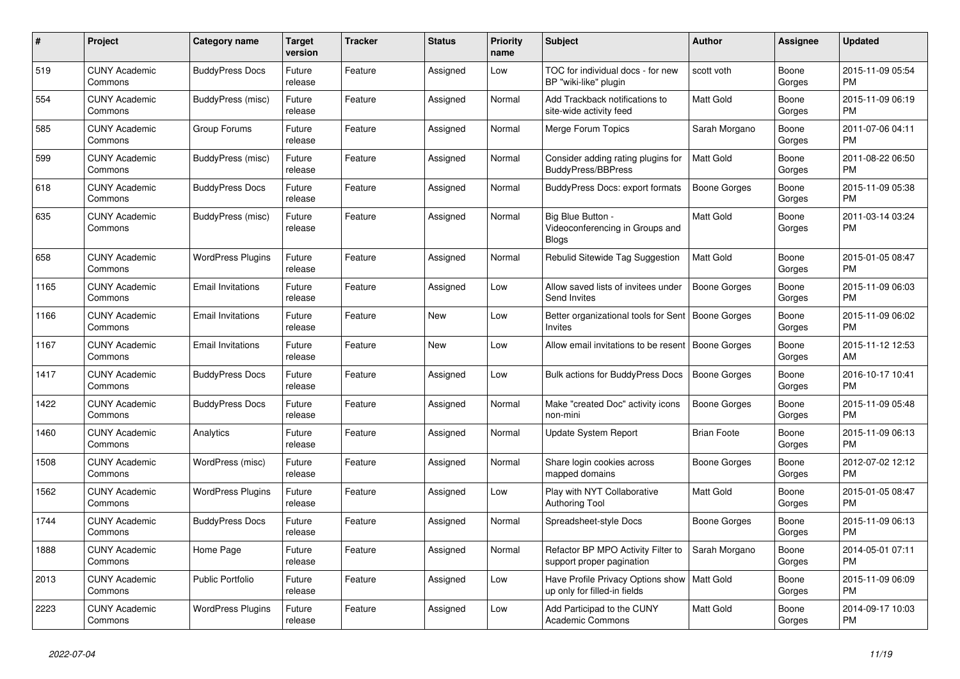| #    | <b>Project</b>                  | Category name            | Target<br>version | <b>Tracker</b> | <b>Status</b> | <b>Priority</b><br>name | <b>Subject</b>                                                       | <b>Author</b>       | Assignee        | <b>Updated</b>                |
|------|---------------------------------|--------------------------|-------------------|----------------|---------------|-------------------------|----------------------------------------------------------------------|---------------------|-----------------|-------------------------------|
| 519  | <b>CUNY Academic</b><br>Commons | <b>BuddyPress Docs</b>   | Future<br>release | Feature        | Assigned      | Low                     | TOC for individual docs - for new<br>BP "wiki-like" plugin           | scott voth          | Boone<br>Gorges | 2015-11-09 05:54<br><b>PM</b> |
| 554  | <b>CUNY Academic</b><br>Commons | BuddyPress (misc)        | Future<br>release | Feature        | Assigned      | Normal                  | Add Trackback notifications to<br>site-wide activity feed            | Matt Gold           | Boone<br>Gorges | 2015-11-09 06:19<br>PM.       |
| 585  | <b>CUNY Academic</b><br>Commons | Group Forums             | Future<br>release | Feature        | Assigned      | Normal                  | Merge Forum Topics                                                   | Sarah Morgano       | Boone<br>Gorges | 2011-07-06 04:11<br><b>PM</b> |
| 599  | <b>CUNY Academic</b><br>Commons | BuddyPress (misc)        | Future<br>release | Feature        | Assigned      | Normal                  | Consider adding rating plugins for<br><b>BuddyPress/BBPress</b>      | <b>Matt Gold</b>    | Boone<br>Gorges | 2011-08-22 06:50<br><b>PM</b> |
| 618  | <b>CUNY Academic</b><br>Commons | <b>BuddyPress Docs</b>   | Future<br>release | Feature        | Assigned      | Normal                  | BuddyPress Docs: export formats                                      | <b>Boone Gorges</b> | Boone<br>Gorges | 2015-11-09 05:38<br><b>PM</b> |
| 635  | <b>CUNY Academic</b><br>Commons | BuddyPress (misc)        | Future<br>release | Feature        | Assigned      | Normal                  | Big Blue Button -<br>Videoconferencing in Groups and<br><b>Blogs</b> | Matt Gold           | Boone<br>Gorges | 2011-03-14 03:24<br><b>PM</b> |
| 658  | <b>CUNY Academic</b><br>Commons | <b>WordPress Plugins</b> | Future<br>release | Feature        | Assigned      | Normal                  | Rebulid Sitewide Tag Suggestion                                      | <b>Matt Gold</b>    | Boone<br>Gorges | 2015-01-05 08:47<br><b>PM</b> |
| 1165 | <b>CUNY Academic</b><br>Commons | <b>Email Invitations</b> | Future<br>release | Feature        | Assigned      | Low                     | Allow saved lists of invitees under<br>Send Invites                  | Boone Gorges        | Boone<br>Gorges | 2015-11-09 06:03<br><b>PM</b> |
| 1166 | <b>CUNY Academic</b><br>Commons | <b>Email Invitations</b> | Future<br>release | Feature        | New           | Low                     | Better organizational tools for Sent<br>Invites                      | Boone Gorges        | Boone<br>Gorges | 2015-11-09 06:02<br><b>PM</b> |
| 1167 | <b>CUNY Academic</b><br>Commons | <b>Email Invitations</b> | Future<br>release | Feature        | <b>New</b>    | Low                     | Allow email invitations to be resent                                 | Boone Gorges        | Boone<br>Gorges | 2015-11-12 12:53<br>AM        |
| 1417 | <b>CUNY Academic</b><br>Commons | <b>BuddyPress Docs</b>   | Future<br>release | Feature        | Assigned      | Low                     | <b>Bulk actions for BuddyPress Docs</b>                              | <b>Boone Gorges</b> | Boone<br>Gorges | 2016-10-17 10:41<br><b>PM</b> |
| 1422 | <b>CUNY Academic</b><br>Commons | <b>BuddyPress Docs</b>   | Future<br>release | Feature        | Assigned      | Normal                  | Make "created Doc" activity icons<br>non-mini                        | Boone Gorges        | Boone<br>Gorges | 2015-11-09 05:48<br><b>PM</b> |
| 1460 | <b>CUNY Academic</b><br>Commons | Analytics                | Future<br>release | Feature        | Assigned      | Normal                  | Update System Report                                                 | <b>Brian Foote</b>  | Boone<br>Gorges | 2015-11-09 06:13<br><b>PM</b> |
| 1508 | <b>CUNY Academic</b><br>Commons | WordPress (misc)         | Future<br>release | Feature        | Assigned      | Normal                  | Share login cookies across<br>mapped domains                         | Boone Gorges        | Boone<br>Gorges | 2012-07-02 12:12<br><b>PM</b> |
| 1562 | <b>CUNY Academic</b><br>Commons | <b>WordPress Plugins</b> | Future<br>release | Feature        | Assigned      | Low                     | Play with NYT Collaborative<br><b>Authoring Tool</b>                 | Matt Gold           | Boone<br>Gorges | 2015-01-05 08:47<br><b>PM</b> |
| 1744 | <b>CUNY Academic</b><br>Commons | <b>BuddyPress Docs</b>   | Future<br>release | Feature        | Assigned      | Normal                  | Spreadsheet-style Docs                                               | Boone Gorges        | Boone<br>Gorges | 2015-11-09 06:13<br><b>PM</b> |
| 1888 | <b>CUNY Academic</b><br>Commons | Home Page                | Future<br>release | Feature        | Assigned      | Normal                  | Refactor BP MPO Activity Filter to<br>support proper pagination      | Sarah Morgano       | Boone<br>Gorges | 2014-05-01 07:11<br><b>PM</b> |
| 2013 | <b>CUNY Academic</b><br>Commons | <b>Public Portfolio</b>  | Future<br>release | Feature        | Assigned      | Low                     | Have Profile Privacy Options show<br>up only for filled-in fields    | <b>Matt Gold</b>    | Boone<br>Gorges | 2015-11-09 06:09<br><b>PM</b> |
| 2223 | <b>CUNY Academic</b><br>Commons | <b>WordPress Plugins</b> | Future<br>release | Feature        | Assigned      | Low                     | Add Participad to the CUNY<br>Academic Commons                       | Matt Gold           | Boone<br>Gorges | 2014-09-17 10:03<br><b>PM</b> |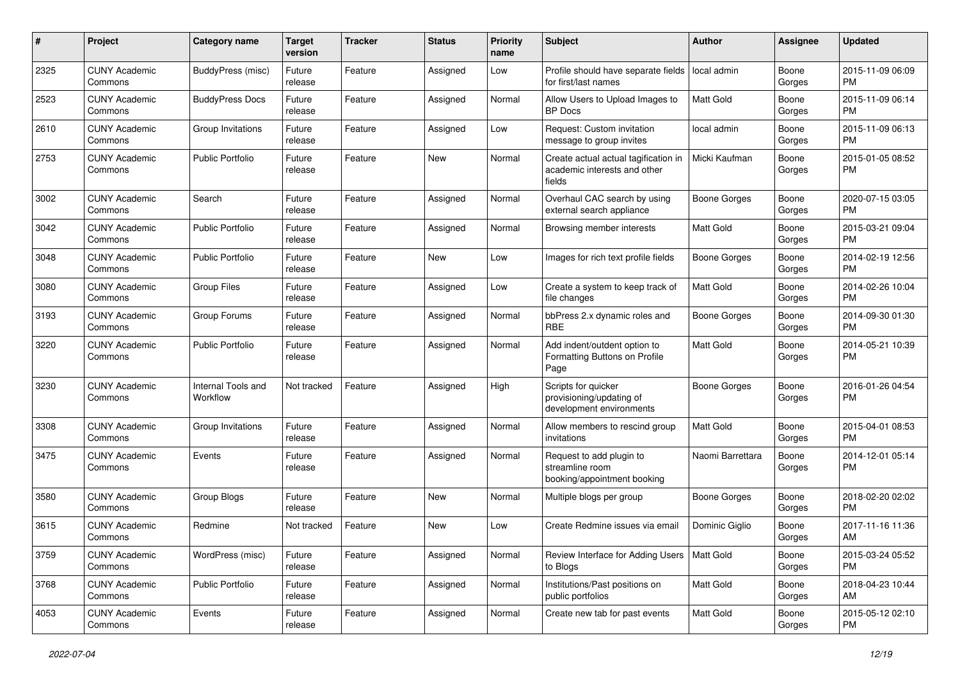| #    | Project                         | <b>Category name</b>           | <b>Target</b><br>version | <b>Tracker</b> | <b>Status</b> | <b>Priority</b><br>name | <b>Subject</b>                                                                 | <b>Author</b>       | <b>Assignee</b> | <b>Updated</b>                |
|------|---------------------------------|--------------------------------|--------------------------|----------------|---------------|-------------------------|--------------------------------------------------------------------------------|---------------------|-----------------|-------------------------------|
| 2325 | <b>CUNY Academic</b><br>Commons | <b>BuddyPress</b> (misc)       | Future<br>release        | Feature        | Assigned      | Low                     | Profile should have separate fields<br>for first/last names                    | local admin         | Boone<br>Gorges | 2015-11-09 06:09<br>PM.       |
| 2523 | <b>CUNY Academic</b><br>Commons | <b>BuddyPress Docs</b>         | Future<br>release        | Feature        | Assigned      | Normal                  | Allow Users to Upload Images to<br><b>BP</b> Docs                              | Matt Gold           | Boone<br>Gorges | 2015-11-09 06:14<br><b>PM</b> |
| 2610 | <b>CUNY Academic</b><br>Commons | Group Invitations              | Future<br>release        | Feature        | Assigned      | Low                     | Request: Custom invitation<br>message to group invites                         | local admin         | Boone<br>Gorges | 2015-11-09 06:13<br><b>PM</b> |
| 2753 | <b>CUNY Academic</b><br>Commons | <b>Public Portfolio</b>        | Future<br>release        | Feature        | New           | Normal                  | Create actual actual tagification in<br>academic interests and other<br>fields | Micki Kaufman       | Boone<br>Gorges | 2015-01-05 08:52<br>PM        |
| 3002 | <b>CUNY Academic</b><br>Commons | Search                         | Future<br>release        | Feature        | Assigned      | Normal                  | Overhaul CAC search by using<br>external search appliance                      | Boone Gorges        | Boone<br>Gorges | 2020-07-15 03:05<br>PM.       |
| 3042 | <b>CUNY Academic</b><br>Commons | <b>Public Portfolio</b>        | Future<br>release        | Feature        | Assigned      | Normal                  | Browsing member interests                                                      | Matt Gold           | Boone<br>Gorges | 2015-03-21 09:04<br><b>PM</b> |
| 3048 | <b>CUNY Academic</b><br>Commons | <b>Public Portfolio</b>        | Future<br>release        | Feature        | New           | Low                     | Images for rich text profile fields                                            | Boone Gorges        | Boone<br>Gorges | 2014-02-19 12:56<br><b>PM</b> |
| 3080 | <b>CUNY Academic</b><br>Commons | <b>Group Files</b>             | Future<br>release        | Feature        | Assigned      | Low                     | Create a system to keep track of<br>file changes                               | Matt Gold           | Boone<br>Gorges | 2014-02-26 10:04<br><b>PM</b> |
| 3193 | <b>CUNY Academic</b><br>Commons | Group Forums                   | Future<br>release        | Feature        | Assigned      | Normal                  | bbPress 2.x dynamic roles and<br><b>RBE</b>                                    | <b>Boone Gorges</b> | Boone<br>Gorges | 2014-09-30 01:30<br>PM.       |
| 3220 | <b>CUNY Academic</b><br>Commons | <b>Public Portfolio</b>        | Future<br>release        | Feature        | Assigned      | Normal                  | Add indent/outdent option to<br>Formatting Buttons on Profile<br>Page          | <b>Matt Gold</b>    | Boone<br>Gorges | 2014-05-21 10:39<br><b>PM</b> |
| 3230 | <b>CUNY Academic</b><br>Commons | Internal Tools and<br>Workflow | Not tracked              | Feature        | Assigned      | High                    | Scripts for quicker<br>provisioning/updating of<br>development environments    | <b>Boone Gorges</b> | Boone<br>Gorges | 2016-01-26 04:54<br><b>PM</b> |
| 3308 | <b>CUNY Academic</b><br>Commons | Group Invitations              | Future<br>release        | Feature        | Assigned      | Normal                  | Allow members to rescind group<br>invitations                                  | <b>Matt Gold</b>    | Boone<br>Gorges | 2015-04-01 08:53<br><b>PM</b> |
| 3475 | <b>CUNY Academic</b><br>Commons | Events                         | Future<br>release        | Feature        | Assigned      | Normal                  | Request to add plugin to<br>streamline room<br>booking/appointment booking     | Naomi Barrettara    | Boone<br>Gorges | 2014-12-01 05:14<br><b>PM</b> |
| 3580 | <b>CUNY Academic</b><br>Commons | Group Blogs                    | Future<br>release        | Feature        | New           | Normal                  | Multiple blogs per group                                                       | <b>Boone Gorges</b> | Boone<br>Gorges | 2018-02-20 02:02<br><b>PM</b> |
| 3615 | <b>CUNY Academic</b><br>Commons | Redmine                        | Not tracked              | Feature        | <b>New</b>    | Low                     | Create Redmine issues via email                                                | Dominic Giglio      | Boone<br>Gorges | 2017-11-16 11:36<br>AM        |
| 3759 | <b>CUNY Academic</b><br>Commons | WordPress (misc)               | Future<br>release        | Feature        | Assigned      | Normal                  | Review Interface for Adding Users<br>to Blogs                                  | Matt Gold           | Boone<br>Gorges | 2015-03-24 05:52<br>PM.       |
| 3768 | <b>CUNY Academic</b><br>Commons | Public Portfolio               | Future<br>release        | Feature        | Assigned      | Normal                  | Institutions/Past positions on<br>public portfolios                            | Matt Gold           | Boone<br>Gorges | 2018-04-23 10:44<br>AM        |
| 4053 | <b>CUNY Academic</b><br>Commons | Events                         | Future<br>release        | Feature        | Assigned      | Normal                  | Create new tab for past events                                                 | Matt Gold           | Boone<br>Gorges | 2015-05-12 02:10<br><b>PM</b> |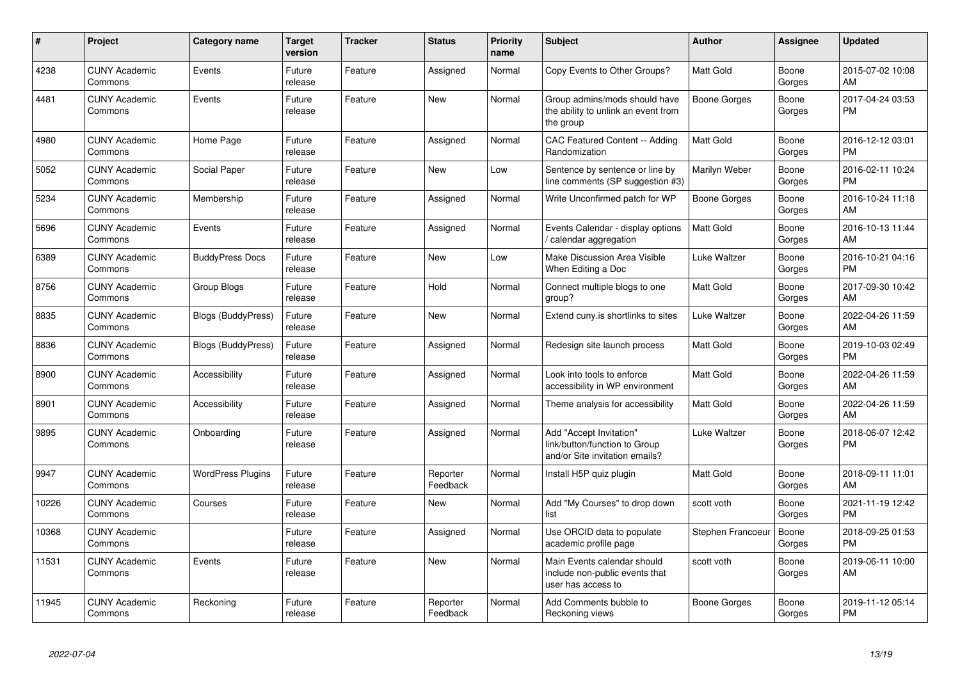| #     | Project                         | <b>Category name</b>      | <b>Target</b><br>version | <b>Tracker</b> | <b>Status</b>        | <b>Priority</b><br>name | <b>Subject</b>                                                                             | <b>Author</b>     | Assignee        | <b>Updated</b>                |
|-------|---------------------------------|---------------------------|--------------------------|----------------|----------------------|-------------------------|--------------------------------------------------------------------------------------------|-------------------|-----------------|-------------------------------|
| 4238  | <b>CUNY Academic</b><br>Commons | Events                    | Future<br>release        | Feature        | Assigned             | Normal                  | Copy Events to Other Groups?                                                               | <b>Matt Gold</b>  | Boone<br>Gorges | 2015-07-02 10:08<br>AM        |
| 4481  | <b>CUNY Academic</b><br>Commons | Events                    | Future<br>release        | Feature        | <b>New</b>           | Normal                  | Group admins/mods should have<br>the ability to unlink an event from<br>the group          | Boone Gorges      | Boone<br>Gorges | 2017-04-24 03:53<br><b>PM</b> |
| 4980  | <b>CUNY Academic</b><br>Commons | Home Page                 | Future<br>release        | Feature        | Assigned             | Normal                  | CAC Featured Content -- Adding<br>Randomization                                            | <b>Matt Gold</b>  | Boone<br>Gorges | 2016-12-12 03:01<br><b>PM</b> |
| 5052  | <b>CUNY Academic</b><br>Commons | Social Paper              | Future<br>release        | Feature        | New                  | Low                     | Sentence by sentence or line by<br>line comments (SP suggestion #3)                        | Marilyn Weber     | Boone<br>Gorges | 2016-02-11 10:24<br><b>PM</b> |
| 5234  | <b>CUNY Academic</b><br>Commons | Membership                | Future<br>release        | Feature        | Assigned             | Normal                  | Write Unconfirmed patch for WP                                                             | Boone Gorges      | Boone<br>Gorges | 2016-10-24 11:18<br>AM        |
| 5696  | <b>CUNY Academic</b><br>Commons | Events                    | Future<br>release        | Feature        | Assigned             | Normal                  | Events Calendar - display options<br>calendar aggregation                                  | Matt Gold         | Boone<br>Gorges | 2016-10-13 11:44<br>AM        |
| 6389  | <b>CUNY Academic</b><br>Commons | <b>BuddyPress Docs</b>    | Future<br>release        | Feature        | New                  | Low                     | Make Discussion Area Visible<br>When Editing a Doc                                         | Luke Waltzer      | Boone<br>Gorges | 2016-10-21 04:16<br><b>PM</b> |
| 8756  | <b>CUNY Academic</b><br>Commons | Group Blogs               | Future<br>release        | Feature        | Hold                 | Normal                  | Connect multiple blogs to one<br>group?                                                    | Matt Gold         | Boone<br>Gorges | 2017-09-30 10:42<br>AM        |
| 8835  | <b>CUNY Academic</b><br>Commons | <b>Blogs (BuddyPress)</b> | Future<br>release        | Feature        | New                  | Normal                  | Extend cuny is shortlinks to sites                                                         | Luke Waltzer      | Boone<br>Gorges | 2022-04-26 11:59<br>AM        |
| 8836  | <b>CUNY Academic</b><br>Commons | <b>Blogs (BuddyPress)</b> | Future<br>release        | Feature        | Assigned             | Normal                  | Redesign site launch process                                                               | <b>Matt Gold</b>  | Boone<br>Gorges | 2019-10-03 02:49<br><b>PM</b> |
| 8900  | <b>CUNY Academic</b><br>Commons | Accessibility             | Future<br>release        | Feature        | Assigned             | Normal                  | Look into tools to enforce<br>accessibility in WP environment                              | <b>Matt Gold</b>  | Boone<br>Gorges | 2022-04-26 11:59<br>AM        |
| 8901  | <b>CUNY Academic</b><br>Commons | Accessibility             | Future<br>release        | Feature        | Assigned             | Normal                  | Theme analysis for accessibility                                                           | Matt Gold         | Boone<br>Gorges | 2022-04-26 11:59<br>AM        |
| 9895  | <b>CUNY Academic</b><br>Commons | Onboarding                | Future<br>release        | Feature        | Assigned             | Normal                  | Add "Accept Invitation"<br>link/button/function to Group<br>and/or Site invitation emails? | Luke Waltzer      | Boone<br>Gorges | 2018-06-07 12:42<br><b>PM</b> |
| 9947  | <b>CUNY Academic</b><br>Commons | <b>WordPress Plugins</b>  | Future<br>release        | Feature        | Reporter<br>Feedback | Normal                  | Install H5P quiz plugin                                                                    | <b>Matt Gold</b>  | Boone<br>Gorges | 2018-09-11 11:01<br>AM        |
| 10226 | <b>CUNY Academic</b><br>Commons | Courses                   | Future<br>release        | Feature        | <b>New</b>           | Normal                  | Add "My Courses" to drop down<br>list                                                      | scott voth        | Boone<br>Gorges | 2021-11-19 12:42<br><b>PM</b> |
| 10368 | <b>CUNY Academic</b><br>Commons |                           | Future<br>release        | Feature        | Assigned             | Normal                  | Use ORCID data to populate<br>academic profile page                                        | Stephen Francoeur | Boone<br>Gorges | 2018-09-25 01:53<br><b>PM</b> |
| 11531 | <b>CUNY Academic</b><br>Commons | Events                    | Future<br>release        | Feature        | <b>New</b>           | Normal                  | Main Events calendar should<br>include non-public events that<br>user has access to        | scott voth        | Boone<br>Gorges | 2019-06-11 10:00<br>AM        |
| 11945 | <b>CUNY Academic</b><br>Commons | Reckoning                 | Future<br>release        | Feature        | Reporter<br>Feedback | Normal                  | Add Comments bubble to<br>Reckoning views                                                  | Boone Gorges      | Boone<br>Gorges | 2019-11-12 05:14<br><b>PM</b> |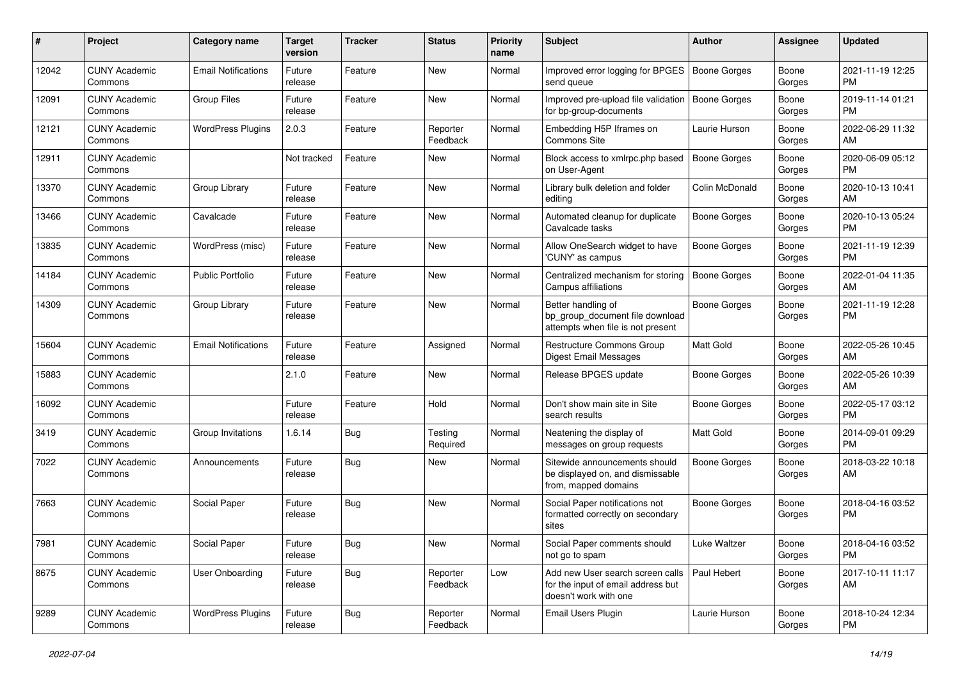| #     | Project                         | <b>Category name</b>       | <b>Target</b><br>version | <b>Tracker</b> | <b>Status</b>        | <b>Priority</b><br>name | <b>Subject</b>                                                                                  | Author              | <b>Assignee</b> | <b>Updated</b>                |
|-------|---------------------------------|----------------------------|--------------------------|----------------|----------------------|-------------------------|-------------------------------------------------------------------------------------------------|---------------------|-----------------|-------------------------------|
| 12042 | <b>CUNY Academic</b><br>Commons | <b>Email Notifications</b> | Future<br>release        | Feature        | New                  | Normal                  | Improved error logging for BPGES<br>send queue                                                  | <b>Boone Gorges</b> | Boone<br>Gorges | 2021-11-19 12:25<br>PM.       |
| 12091 | <b>CUNY Academic</b><br>Commons | Group Files                | Future<br>release        | Feature        | New                  | Normal                  | Improved pre-upload file validation<br>for bp-group-documents                                   | Boone Gorges        | Boone<br>Gorges | 2019-11-14 01:21<br><b>PM</b> |
| 12121 | <b>CUNY Academic</b><br>Commons | <b>WordPress Plugins</b>   | 2.0.3                    | Feature        | Reporter<br>Feedback | Normal                  | Embedding H5P Iframes on<br>Commons Site                                                        | Laurie Hurson       | Boone<br>Gorges | 2022-06-29 11:32<br>AM        |
| 12911 | <b>CUNY Academic</b><br>Commons |                            | Not tracked              | Feature        | New                  | Normal                  | Block access to xmlrpc.php based<br>on User-Agent                                               | Boone Gorges        | Boone<br>Gorges | 2020-06-09 05:12<br><b>PM</b> |
| 13370 | <b>CUNY Academic</b><br>Commons | Group Library              | Future<br>release        | Feature        | New                  | Normal                  | Library bulk deletion and folder<br>editing                                                     | Colin McDonald      | Boone<br>Gorges | 2020-10-13 10:41<br>AM        |
| 13466 | <b>CUNY Academic</b><br>Commons | Cavalcade                  | Future<br>release        | Feature        | New                  | Normal                  | Automated cleanup for duplicate<br>Cavalcade tasks                                              | <b>Boone Gorges</b> | Boone<br>Gorges | 2020-10-13 05:24<br><b>PM</b> |
| 13835 | <b>CUNY Academic</b><br>Commons | WordPress (misc)           | Future<br>release        | Feature        | New                  | Normal                  | Allow OneSearch widget to have<br>'CUNY' as campus                                              | <b>Boone Gorges</b> | Boone<br>Gorges | 2021-11-19 12:39<br><b>PM</b> |
| 14184 | <b>CUNY Academic</b><br>Commons | <b>Public Portfolio</b>    | Future<br>release        | Feature        | <b>New</b>           | Normal                  | Centralized mechanism for storing<br>Campus affiliations                                        | <b>Boone Gorges</b> | Boone<br>Gorges | 2022-01-04 11:35<br>AM        |
| 14309 | <b>CUNY Academic</b><br>Commons | Group Library              | Future<br>release        | Feature        | New                  | Normal                  | Better handling of<br>bp_group_document file download<br>attempts when file is not present      | <b>Boone Gorges</b> | Boone<br>Gorges | 2021-11-19 12:28<br><b>PM</b> |
| 15604 | <b>CUNY Academic</b><br>Commons | <b>Email Notifications</b> | Future<br>release        | Feature        | Assigned             | Normal                  | Restructure Commons Group<br><b>Digest Email Messages</b>                                       | <b>Matt Gold</b>    | Boone<br>Gorges | 2022-05-26 10:45<br>AM        |
| 15883 | <b>CUNY Academic</b><br>Commons |                            | 2.1.0                    | Feature        | New                  | Normal                  | Release BPGES update                                                                            | Boone Gorges        | Boone<br>Gorges | 2022-05-26 10:39<br>AM        |
| 16092 | <b>CUNY Academic</b><br>Commons |                            | Future<br>release        | Feature        | Hold                 | Normal                  | Don't show main site in Site<br>search results                                                  | Boone Gorges        | Boone<br>Gorges | 2022-05-17 03:12<br><b>PM</b> |
| 3419  | <b>CUNY Academic</b><br>Commons | Group Invitations          | 1.6.14                   | Bug            | Testing<br>Required  | Normal                  | Neatening the display of<br>messages on group requests                                          | <b>Matt Gold</b>    | Boone<br>Gorges | 2014-09-01 09:29<br><b>PM</b> |
| 7022  | <b>CUNY Academic</b><br>Commons | Announcements              | Future<br>release        | Bug            | New                  | Normal                  | Sitewide announcements should<br>be displayed on, and dismissable<br>from, mapped domains       | Boone Gorges        | Boone<br>Gorges | 2018-03-22 10:18<br>AM        |
| 7663  | <b>CUNY Academic</b><br>Commons | Social Paper               | Future<br>release        | Bug            | New                  | Normal                  | Social Paper notifications not<br>formatted correctly on secondary<br>sites                     | Boone Gorges        | Boone<br>Gorges | 2018-04-16 03:52<br><b>PM</b> |
| 7981  | <b>CUNY Academic</b><br>Commons | Social Paper               | Future<br>release        | Bug            | New                  | Normal                  | Social Paper comments should<br>not go to spam                                                  | Luke Waltzer        | Boone<br>Gorges | 2018-04-16 03:52<br><b>PM</b> |
| 8675  | <b>CUNY Academic</b><br>Commons | User Onboarding            | Future<br>release        | Bug            | Reporter<br>Feedback | Low                     | Add new User search screen calls<br>for the input of email address but<br>doesn't work with one | Paul Hebert         | Boone<br>Gorges | 2017-10-11 11:17<br>AM        |
| 9289  | <b>CUNY Academic</b><br>Commons | <b>WordPress Plugins</b>   | Future<br>release        | <b>Bug</b>     | Reporter<br>Feedback | Normal                  | Email Users Plugin                                                                              | Laurie Hurson       | Boone<br>Gorges | 2018-10-24 12:34<br>PM        |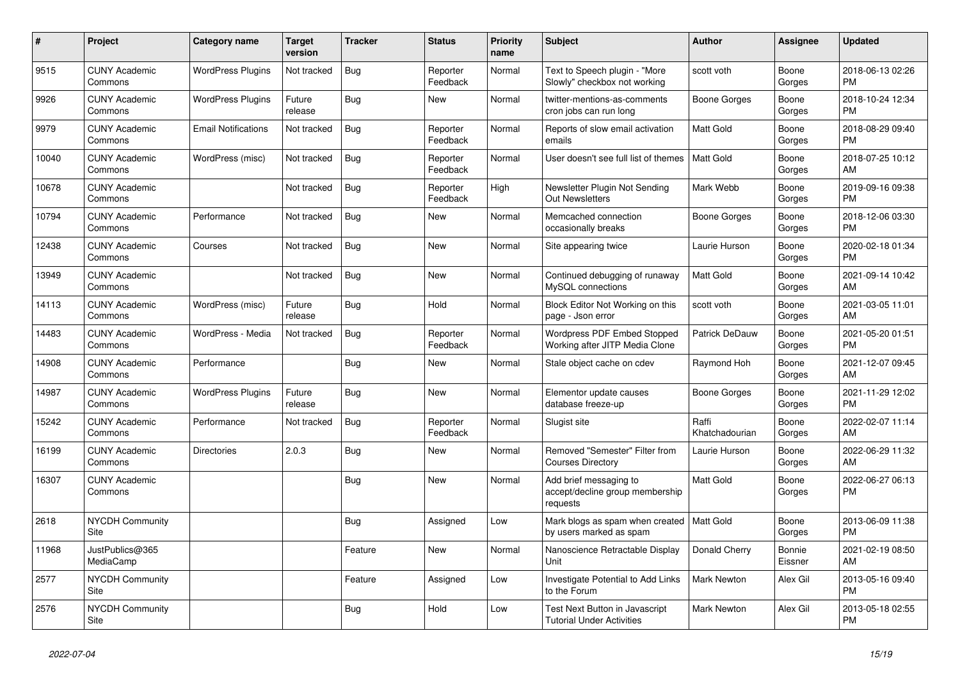| #     | Project                         | <b>Category name</b>       | <b>Target</b><br>version | <b>Tracker</b> | <b>Status</b>        | <b>Priority</b><br>name | <b>Subject</b>                                                        | <b>Author</b>           | Assignee          | <b>Updated</b>                |
|-------|---------------------------------|----------------------------|--------------------------|----------------|----------------------|-------------------------|-----------------------------------------------------------------------|-------------------------|-------------------|-------------------------------|
| 9515  | <b>CUNY Academic</b><br>Commons | <b>WordPress Plugins</b>   | Not tracked              | Bug            | Reporter<br>Feedback | Normal                  | Text to Speech plugin - "More<br>Slowly" checkbox not working         | scott voth              | Boone<br>Gorges   | 2018-06-13 02:26<br><b>PM</b> |
| 9926  | <b>CUNY Academic</b><br>Commons | <b>WordPress Plugins</b>   | Future<br>release        | Bug            | New                  | Normal                  | twitter-mentions-as-comments<br>cron jobs can run long                | Boone Gorges            | Boone<br>Gorges   | 2018-10-24 12:34<br><b>PM</b> |
| 9979  | <b>CUNY Academic</b><br>Commons | <b>Email Notifications</b> | Not tracked              | <b>Bug</b>     | Reporter<br>Feedback | Normal                  | Reports of slow email activation<br>emails                            | Matt Gold               | Boone<br>Gorges   | 2018-08-29 09:40<br><b>PM</b> |
| 10040 | <b>CUNY Academic</b><br>Commons | WordPress (misc)           | Not tracked              | Bug            | Reporter<br>Feedback | Normal                  | User doesn't see full list of themes                                  | <b>Matt Gold</b>        | Boone<br>Gorges   | 2018-07-25 10:12<br>AM        |
| 10678 | <b>CUNY Academic</b><br>Commons |                            | Not tracked              | Bug            | Reporter<br>Feedback | High                    | Newsletter Plugin Not Sending<br><b>Out Newsletters</b>               | Mark Webb               | Boone<br>Gorges   | 2019-09-16 09:38<br><b>PM</b> |
| 10794 | <b>CUNY Academic</b><br>Commons | Performance                | Not tracked              | <b>Bug</b>     | New                  | Normal                  | Memcached connection<br>occasionally breaks                           | Boone Gorges            | Boone<br>Gorges   | 2018-12-06 03:30<br><b>PM</b> |
| 12438 | <b>CUNY Academic</b><br>Commons | Courses                    | Not tracked              | Bug            | New                  | Normal                  | Site appearing twice                                                  | Laurie Hurson           | Boone<br>Gorges   | 2020-02-18 01:34<br><b>PM</b> |
| 13949 | <b>CUNY Academic</b><br>Commons |                            | Not tracked              | Bug            | <b>New</b>           | Normal                  | Continued debugging of runaway<br>MySQL connections                   | <b>Matt Gold</b>        | Boone<br>Gorges   | 2021-09-14 10:42<br>AM        |
| 14113 | <b>CUNY Academic</b><br>Commons | WordPress (misc)           | Future<br>release        | Bug            | Hold                 | Normal                  | Block Editor Not Working on this<br>page - Json error                 | scott voth              | Boone<br>Gorges   | 2021-03-05 11:01<br>AM        |
| 14483 | <b>CUNY Academic</b><br>Commons | WordPress - Media          | Not tracked              | <b>Bug</b>     | Reporter<br>Feedback | Normal                  | <b>Wordpress PDF Embed Stopped</b><br>Working after JITP Media Clone  | <b>Patrick DeDauw</b>   | Boone<br>Gorges   | 2021-05-20 01:51<br><b>PM</b> |
| 14908 | <b>CUNY Academic</b><br>Commons | Performance                |                          | Bug            | <b>New</b>           | Normal                  | Stale object cache on cdev                                            | Raymond Hoh             | Boone<br>Gorges   | 2021-12-07 09:45<br>AM        |
| 14987 | <b>CUNY Academic</b><br>Commons | <b>WordPress Plugins</b>   | Future<br>release        | <b>Bug</b>     | <b>New</b>           | Normal                  | Elementor update causes<br>database freeze-up                         | Boone Gorges            | Boone<br>Gorges   | 2021-11-29 12:02<br><b>PM</b> |
| 15242 | <b>CUNY Academic</b><br>Commons | Performance                | Not tracked              | Bug            | Reporter<br>Feedback | Normal                  | Slugist site                                                          | Raffi<br>Khatchadourian | Boone<br>Gorges   | 2022-02-07 11:14<br><b>AM</b> |
| 16199 | <b>CUNY Academic</b><br>Commons | Directories                | 2.0.3                    | Bug            | New                  | Normal                  | Removed "Semester" Filter from<br><b>Courses Directory</b>            | Laurie Hurson           | Boone<br>Gorges   | 2022-06-29 11:32<br>AM        |
| 16307 | <b>CUNY Academic</b><br>Commons |                            |                          | <b>Bug</b>     | <b>New</b>           | Normal                  | Add brief messaging to<br>accept/decline group membership<br>requests | Matt Gold               | Boone<br>Gorges   | 2022-06-27 06:13<br><b>PM</b> |
| 2618  | <b>NYCDH Community</b><br>Site  |                            |                          | Bug            | Assigned             | Low                     | Mark blogs as spam when created<br>by users marked as spam            | Matt Gold               | Boone<br>Gorges   | 2013-06-09 11:38<br><b>PM</b> |
| 11968 | JustPublics@365<br>MediaCamp    |                            |                          | Feature        | <b>New</b>           | Normal                  | Nanoscience Retractable Display<br>Unit                               | Donald Cherry           | Bonnie<br>Eissner | 2021-02-19 08:50<br>AM        |
| 2577  | <b>NYCDH Community</b><br>Site  |                            |                          | Feature        | Assigned             | Low                     | Investigate Potential to Add Links<br>to the Forum                    | Mark Newton             | Alex Gil          | 2013-05-16 09:40<br><b>PM</b> |
| 2576  | <b>NYCDH Community</b><br>Site  |                            |                          | <b>Bug</b>     | Hold                 | Low                     | Test Next Button in Javascript<br><b>Tutorial Under Activities</b>    | <b>Mark Newton</b>      | Alex Gil          | 2013-05-18 02:55<br><b>PM</b> |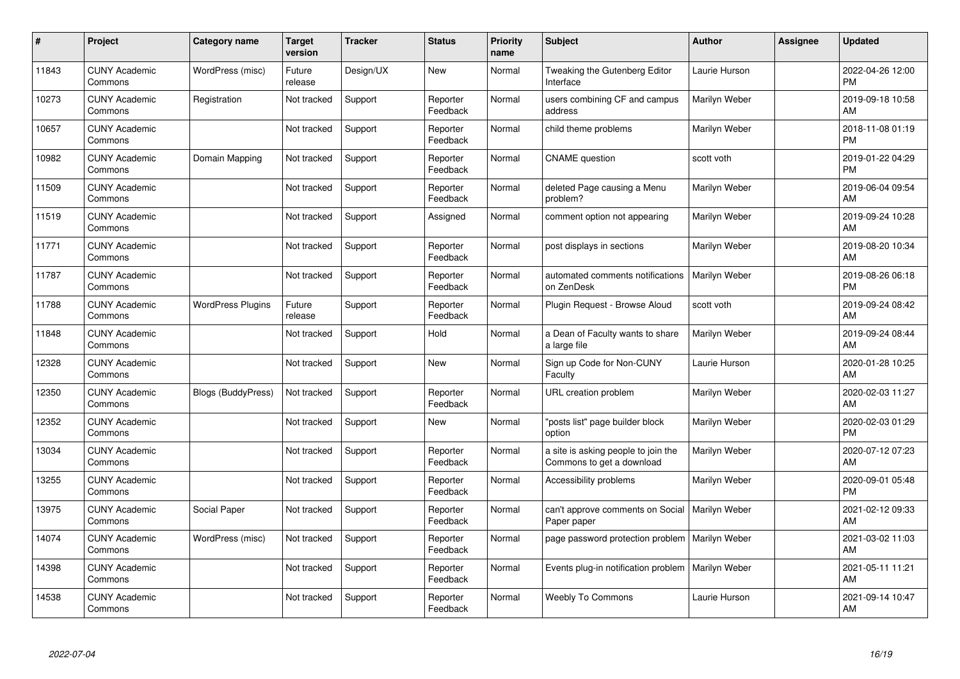| #     | Project                         | <b>Category name</b>      | <b>Target</b><br>version | <b>Tracker</b> | <b>Status</b>        | <b>Priority</b><br>name | <b>Subject</b>                                                   | <b>Author</b> | Assignee | <b>Updated</b>                |
|-------|---------------------------------|---------------------------|--------------------------|----------------|----------------------|-------------------------|------------------------------------------------------------------|---------------|----------|-------------------------------|
| 11843 | <b>CUNY Academic</b><br>Commons | WordPress (misc)          | Future<br>release        | Design/UX      | <b>New</b>           | Normal                  | Tweaking the Gutenberg Editor<br>Interface                       | Laurie Hurson |          | 2022-04-26 12:00<br><b>PM</b> |
| 10273 | <b>CUNY Academic</b><br>Commons | Registration              | Not tracked              | Support        | Reporter<br>Feedback | Normal                  | users combining CF and campus<br>address                         | Marilyn Weber |          | 2019-09-18 10:58<br>AM        |
| 10657 | <b>CUNY Academic</b><br>Commons |                           | Not tracked              | Support        | Reporter<br>Feedback | Normal                  | child theme problems                                             | Marilyn Weber |          | 2018-11-08 01:19<br><b>PM</b> |
| 10982 | <b>CUNY Academic</b><br>Commons | Domain Mapping            | Not tracked              | Support        | Reporter<br>Feedback | Normal                  | <b>CNAME</b> question                                            | scott voth    |          | 2019-01-22 04:29<br><b>PM</b> |
| 11509 | <b>CUNY Academic</b><br>Commons |                           | Not tracked              | Support        | Reporter<br>Feedback | Normal                  | deleted Page causing a Menu<br>problem?                          | Marilyn Weber |          | 2019-06-04 09:54<br>AM        |
| 11519 | <b>CUNY Academic</b><br>Commons |                           | Not tracked              | Support        | Assigned             | Normal                  | comment option not appearing                                     | Marilyn Weber |          | 2019-09-24 10:28<br>AM        |
| 11771 | <b>CUNY Academic</b><br>Commons |                           | Not tracked              | Support        | Reporter<br>Feedback | Normal                  | post displays in sections                                        | Marilyn Weber |          | 2019-08-20 10:34<br>AM        |
| 11787 | <b>CUNY Academic</b><br>Commons |                           | Not tracked              | Support        | Reporter<br>Feedback | Normal                  | automated comments notifications<br>on ZenDesk                   | Marilyn Weber |          | 2019-08-26 06:18<br><b>PM</b> |
| 11788 | <b>CUNY Academic</b><br>Commons | <b>WordPress Plugins</b>  | Future<br>release        | Support        | Reporter<br>Feedback | Normal                  | Plugin Request - Browse Aloud                                    | scott voth    |          | 2019-09-24 08:42<br>AM        |
| 11848 | <b>CUNY Academic</b><br>Commons |                           | Not tracked              | Support        | Hold                 | Normal                  | a Dean of Faculty wants to share<br>a large file                 | Marilyn Weber |          | 2019-09-24 08:44<br>AM        |
| 12328 | <b>CUNY Academic</b><br>Commons |                           | Not tracked              | Support        | New                  | Normal                  | Sign up Code for Non-CUNY<br>Faculty                             | Laurie Hurson |          | 2020-01-28 10:25<br>AM        |
| 12350 | <b>CUNY Academic</b><br>Commons | <b>Blogs (BuddyPress)</b> | Not tracked              | Support        | Reporter<br>Feedback | Normal                  | URL creation problem                                             | Marilyn Weber |          | 2020-02-03 11:27<br>AM        |
| 12352 | <b>CUNY Academic</b><br>Commons |                           | Not tracked              | Support        | New                  | Normal                  | 'posts list" page builder block<br>option                        | Marilyn Weber |          | 2020-02-03 01:29<br><b>PM</b> |
| 13034 | <b>CUNY Academic</b><br>Commons |                           | Not tracked              | Support        | Reporter<br>Feedback | Normal                  | a site is asking people to join the<br>Commons to get a download | Marilyn Weber |          | 2020-07-12 07:23<br>AM        |
| 13255 | <b>CUNY Academic</b><br>Commons |                           | Not tracked              | Support        | Reporter<br>Feedback | Normal                  | Accessibility problems                                           | Marilyn Weber |          | 2020-09-01 05:48<br><b>PM</b> |
| 13975 | <b>CUNY Academic</b><br>Commons | Social Paper              | Not tracked              | Support        | Reporter<br>Feedback | Normal                  | can't approve comments on Social<br>Paper paper                  | Marilyn Weber |          | 2021-02-12 09:33<br>AM        |
| 14074 | <b>CUNY Academic</b><br>Commons | WordPress (misc)          | Not tracked              | Support        | Reporter<br>Feedback | Normal                  | page password protection problem                                 | Marilyn Weber |          | 2021-03-02 11:03<br>AM        |
| 14398 | <b>CUNY Academic</b><br>Commons |                           | Not tracked              | Support        | Reporter<br>Feedback | Normal                  | Events plug-in notification problem                              | Marilyn Weber |          | 2021-05-11 11:21<br>AM        |
| 14538 | <b>CUNY Academic</b><br>Commons |                           | Not tracked              | Support        | Reporter<br>Feedback | Normal                  | <b>Weebly To Commons</b>                                         | Laurie Hurson |          | 2021-09-14 10:47<br>AM        |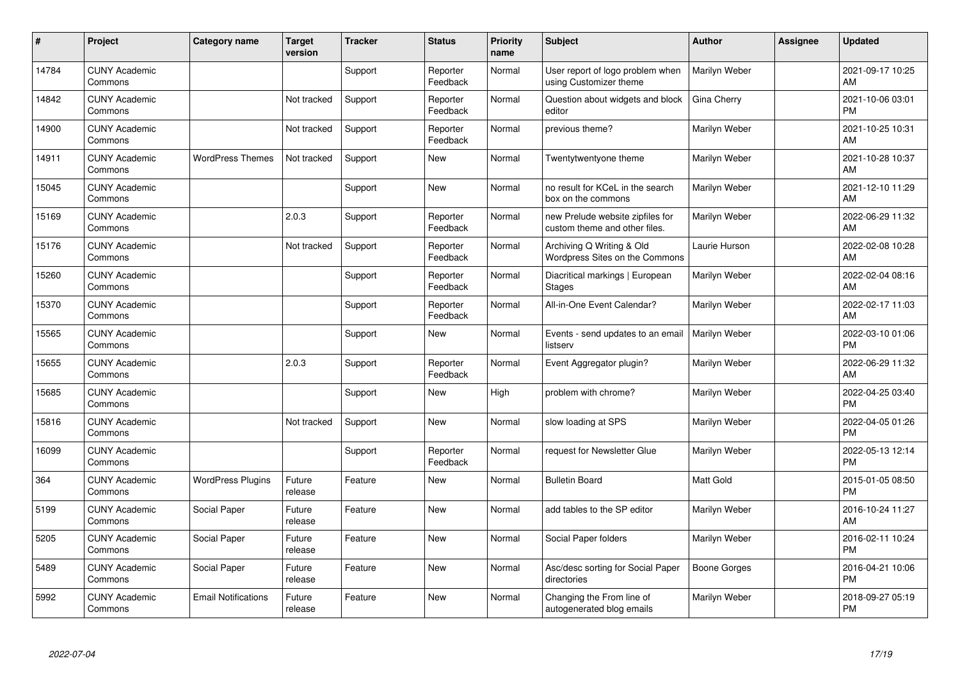| ∦     | Project                         | Category name              | <b>Target</b><br>version | <b>Tracker</b> | <b>Status</b>        | <b>Priority</b><br>name | <b>Subject</b>                                                    | <b>Author</b>       | <b>Assignee</b> | <b>Updated</b>                |
|-------|---------------------------------|----------------------------|--------------------------|----------------|----------------------|-------------------------|-------------------------------------------------------------------|---------------------|-----------------|-------------------------------|
| 14784 | <b>CUNY Academic</b><br>Commons |                            |                          | Support        | Reporter<br>Feedback | Normal                  | User report of logo problem when<br>using Customizer theme        | Marilyn Weber       |                 | 2021-09-17 10:25<br>AM        |
| 14842 | <b>CUNY Academic</b><br>Commons |                            | Not tracked              | Support        | Reporter<br>Feedback | Normal                  | Question about widgets and block<br>editor                        | Gina Cherry         |                 | 2021-10-06 03:01<br><b>PM</b> |
| 14900 | <b>CUNY Academic</b><br>Commons |                            | Not tracked              | Support        | Reporter<br>Feedback | Normal                  | previous theme?                                                   | Marilyn Weber       |                 | 2021-10-25 10:31<br>AM        |
| 14911 | <b>CUNY Academic</b><br>Commons | <b>WordPress Themes</b>    | Not tracked              | Support        | <b>New</b>           | Normal                  | Twentytwentyone theme                                             | Marilyn Weber       |                 | 2021-10-28 10:37<br>AM        |
| 15045 | <b>CUNY Academic</b><br>Commons |                            |                          | Support        | New                  | Normal                  | no result for KCeL in the search<br>box on the commons            | Marilyn Weber       |                 | 2021-12-10 11:29<br>AM        |
| 15169 | <b>CUNY Academic</b><br>Commons |                            | 2.0.3                    | Support        | Reporter<br>Feedback | Normal                  | new Prelude website zipfiles for<br>custom theme and other files. | Marilyn Weber       |                 | 2022-06-29 11:32<br>AM        |
| 15176 | <b>CUNY Academic</b><br>Commons |                            | Not tracked              | Support        | Reporter<br>Feedback | Normal                  | Archiving Q Writing & Old<br>Wordpress Sites on the Commons       | Laurie Hurson       |                 | 2022-02-08 10:28<br>AM        |
| 15260 | <b>CUNY Academic</b><br>Commons |                            |                          | Support        | Reporter<br>Feedback | Normal                  | Diacritical markings   European<br><b>Stages</b>                  | Marilyn Weber       |                 | 2022-02-04 08:16<br>AM        |
| 15370 | <b>CUNY Academic</b><br>Commons |                            |                          | Support        | Reporter<br>Feedback | Normal                  | All-in-One Event Calendar?                                        | Marilyn Weber       |                 | 2022-02-17 11:03<br>AM        |
| 15565 | <b>CUNY Academic</b><br>Commons |                            |                          | Support        | <b>New</b>           | Normal                  | Events - send updates to an email<br>listserv                     | Marilyn Weber       |                 | 2022-03-10 01:06<br><b>PM</b> |
| 15655 | <b>CUNY Academic</b><br>Commons |                            | 2.0.3                    | Support        | Reporter<br>Feedback | Normal                  | Event Aggregator plugin?                                          | Marilyn Weber       |                 | 2022-06-29 11:32<br>AM        |
| 15685 | <b>CUNY Academic</b><br>Commons |                            |                          | Support        | <b>New</b>           | High                    | problem with chrome?                                              | Marilyn Weber       |                 | 2022-04-25 03:40<br><b>PM</b> |
| 15816 | <b>CUNY Academic</b><br>Commons |                            | Not tracked              | Support        | <b>New</b>           | Normal                  | slow loading at SPS                                               | Marilyn Weber       |                 | 2022-04-05 01:26<br><b>PM</b> |
| 16099 | <b>CUNY Academic</b><br>Commons |                            |                          | Support        | Reporter<br>Feedback | Normal                  | request for Newsletter Glue                                       | Marilyn Weber       |                 | 2022-05-13 12:14<br><b>PM</b> |
| 364   | <b>CUNY Academic</b><br>Commons | <b>WordPress Plugins</b>   | Future<br>release        | Feature        | <b>New</b>           | Normal                  | <b>Bulletin Board</b>                                             | Matt Gold           |                 | 2015-01-05 08:50<br><b>PM</b> |
| 5199  | <b>CUNY Academic</b><br>Commons | Social Paper               | Future<br>release        | Feature        | <b>New</b>           | Normal                  | add tables to the SP editor                                       | Marilyn Weber       |                 | 2016-10-24 11:27<br>AM        |
| 5205  | <b>CUNY Academic</b><br>Commons | Social Paper               | Future<br>release        | Feature        | <b>New</b>           | Normal                  | Social Paper folders                                              | Marilyn Weber       |                 | 2016-02-11 10:24<br><b>PM</b> |
| 5489  | <b>CUNY Academic</b><br>Commons | Social Paper               | Future<br>release        | Feature        | New                  | Normal                  | Asc/desc sorting for Social Paper<br>directories                  | <b>Boone Gorges</b> |                 | 2016-04-21 10:06<br><b>PM</b> |
| 5992  | <b>CUNY Academic</b><br>Commons | <b>Email Notifications</b> | Future<br>release        | Feature        | <b>New</b>           | Normal                  | Changing the From line of<br>autogenerated blog emails            | Marilyn Weber       |                 | 2018-09-27 05:19<br>PM        |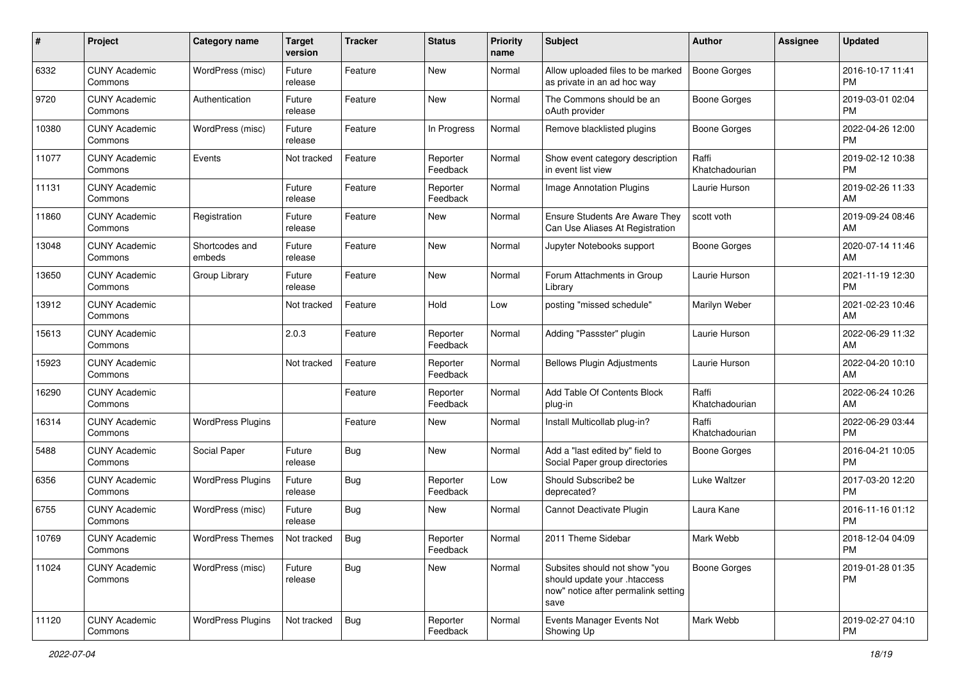| #     | Project                         | <b>Category name</b>     | <b>Target</b><br>version | <b>Tracker</b> | <b>Status</b>        | <b>Priority</b><br>name | <b>Subject</b>                                                                                               | <b>Author</b>           | <b>Assignee</b> | <b>Updated</b>                |
|-------|---------------------------------|--------------------------|--------------------------|----------------|----------------------|-------------------------|--------------------------------------------------------------------------------------------------------------|-------------------------|-----------------|-------------------------------|
| 6332  | <b>CUNY Academic</b><br>Commons | WordPress (misc)         | Future<br>release        | Feature        | New                  | Normal                  | Allow uploaded files to be marked<br>as private in an ad hoc way                                             | <b>Boone Gorges</b>     |                 | 2016-10-17 11:41<br><b>PM</b> |
| 9720  | <b>CUNY Academic</b><br>Commons | Authentication           | Future<br>release        | Feature        | New                  | Normal                  | The Commons should be an<br>oAuth provider                                                                   | <b>Boone Gorges</b>     |                 | 2019-03-01 02:04<br><b>PM</b> |
| 10380 | <b>CUNY Academic</b><br>Commons | WordPress (misc)         | Future<br>release        | Feature        | In Progress          | Normal                  | Remove blacklisted plugins                                                                                   | Boone Gorges            |                 | 2022-04-26 12:00<br><b>PM</b> |
| 11077 | <b>CUNY Academic</b><br>Commons | Events                   | Not tracked              | Feature        | Reporter<br>Feedback | Normal                  | Show event category description<br>in event list view                                                        | Raffi<br>Khatchadourian |                 | 2019-02-12 10:38<br><b>PM</b> |
| 11131 | <b>CUNY Academic</b><br>Commons |                          | Future<br>release        | Feature        | Reporter<br>Feedback | Normal                  | Image Annotation Plugins                                                                                     | Laurie Hurson           |                 | 2019-02-26 11:33<br>AM        |
| 11860 | <b>CUNY Academic</b><br>Commons | Registration             | Future<br>release        | Feature        | New                  | Normal                  | Ensure Students Are Aware They<br>Can Use Aliases At Registration                                            | scott voth              |                 | 2019-09-24 08:46<br>AM        |
| 13048 | <b>CUNY Academic</b><br>Commons | Shortcodes and<br>embeds | Future<br>release        | Feature        | New                  | Normal                  | Jupyter Notebooks support                                                                                    | Boone Gorges            |                 | 2020-07-14 11:46<br>AM        |
| 13650 | <b>CUNY Academic</b><br>Commons | Group Library            | Future<br>release        | Feature        | <b>New</b>           | Normal                  | Forum Attachments in Group<br>Library                                                                        | Laurie Hurson           |                 | 2021-11-19 12:30<br><b>PM</b> |
| 13912 | <b>CUNY Academic</b><br>Commons |                          | Not tracked              | Feature        | Hold                 | Low                     | posting "missed schedule"                                                                                    | Marilyn Weber           |                 | 2021-02-23 10:46<br>AM        |
| 15613 | <b>CUNY Academic</b><br>Commons |                          | 2.0.3                    | Feature        | Reporter<br>Feedback | Normal                  | Adding "Passster" plugin                                                                                     | Laurie Hurson           |                 | 2022-06-29 11:32<br>AM        |
| 15923 | <b>CUNY Academic</b><br>Commons |                          | Not tracked              | Feature        | Reporter<br>Feedback | Normal                  | <b>Bellows Plugin Adjustments</b>                                                                            | Laurie Hurson           |                 | 2022-04-20 10:10<br>AM        |
| 16290 | <b>CUNY Academic</b><br>Commons |                          |                          | Feature        | Reporter<br>Feedback | Normal                  | Add Table Of Contents Block<br>plug-in                                                                       | Raffi<br>Khatchadourian |                 | 2022-06-24 10:26<br>AM        |
| 16314 | <b>CUNY Academic</b><br>Commons | <b>WordPress Plugins</b> |                          | Feature        | New                  | Normal                  | Install Multicollab plug-in?                                                                                 | Raffi<br>Khatchadourian |                 | 2022-06-29 03:44<br><b>PM</b> |
| 5488  | <b>CUNY Academic</b><br>Commons | Social Paper             | Future<br>release        | Bug            | New                  | Normal                  | Add a "last edited by" field to<br>Social Paper group directories                                            | Boone Gorges            |                 | 2016-04-21 10:05<br><b>PM</b> |
| 6356  | <b>CUNY Academic</b><br>Commons | <b>WordPress Plugins</b> | Future<br>release        | <b>Bug</b>     | Reporter<br>Feedback | Low                     | Should Subscribe2 be<br>deprecated?                                                                          | <b>Luke Waltzer</b>     |                 | 2017-03-20 12:20<br><b>PM</b> |
| 6755  | <b>CUNY Academic</b><br>Commons | WordPress (misc)         | Future<br>release        | Bug            | New                  | Normal                  | Cannot Deactivate Plugin                                                                                     | Laura Kane              |                 | 2016-11-16 01:12<br><b>PM</b> |
| 10769 | <b>CUNY Academic</b><br>Commons | <b>WordPress Themes</b>  | Not tracked              | Bug            | Reporter<br>Feedback | Normal                  | 2011 Theme Sidebar                                                                                           | Mark Webb               |                 | 2018-12-04 04:09<br>PM        |
| 11024 | <b>CUNY Academic</b><br>Commons | WordPress (misc)         | Future<br>release        | <b>Bug</b>     | New                  | Normal                  | Subsites should not show "you<br>should update your .htaccess<br>now" notice after permalink setting<br>save | Boone Gorges            |                 | 2019-01-28 01:35<br><b>PM</b> |
| 11120 | <b>CUNY Academic</b><br>Commons | <b>WordPress Plugins</b> | Not tracked              | <b>Bug</b>     | Reporter<br>Feedback | Normal                  | Events Manager Events Not<br>Showing Up                                                                      | Mark Webb               |                 | 2019-02-27 04:10<br><b>PM</b> |